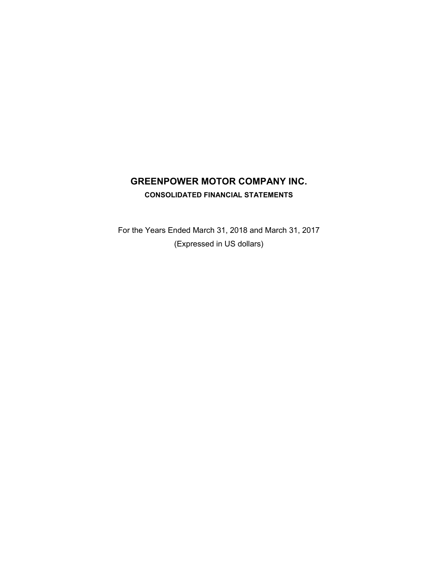# **GREENPOWER MOTOR COMPANY INC. CONSOLIDATED FINANCIAL STATEMENTS**

For the Years Ended March 31, 2018 and March 31, 2017 (Expressed in US dollars)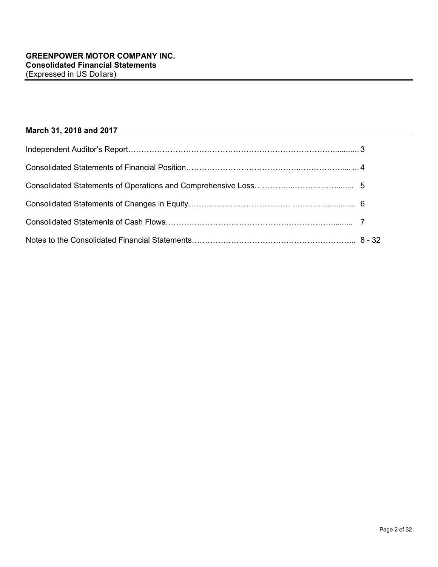# **March 31, 2018 and 2017**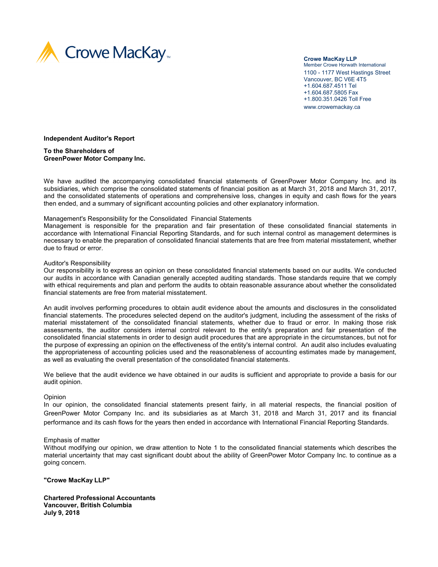

**Crowe MacKay LLP** Member Crowe Horwath International 1100 - 1177 West Hastings Street Vancouver, BC V6E 4T5 +1.604.687.4511 Tel +1.604.687.5805 Fax +1.800.351.0426 Toll Free www.crowemackay.ca

#### **Independent Auditor's Report**

**To the Shareholders of GreenPower Motor Company Inc.**

We have audited the accompanying consolidated financial statements of GreenPower Motor Company Inc. and its subsidiaries, which comprise the consolidated statements of financial position as at March 31, 2018 and March 31, 2017, and the consolidated statements of operations and comprehensive loss, changes in equity and cash flows for the years then ended, and a summary of significant accounting policies and other explanatory information.

#### Management's Responsibility for the Consolidated Financial Statements

Management is responsible for the preparation and fair presentation of these consolidated financial statements in accordance with International Financial Reporting Standards, and for such internal control as management determines is necessary to enable the preparation of consolidated financial statements that are free from material misstatement, whether due to fraud or error.

#### Auditor's Responsibility

Our responsibility is to express an opinion on these consolidated financial statements based on our audits. We conducted our audits in accordance with Canadian generally accepted auditing standards. Those standards require that we comply with ethical requirements and plan and perform the audits to obtain reasonable assurance about whether the consolidated financial statements are free from material misstatement.

An audit involves performing procedures to obtain audit evidence about the amounts and disclosures in the consolidated financial statements. The procedures selected depend on the auditor's judgment, including the assessment of the risks of material misstatement of the consolidated financial statements, whether due to fraud or error. In making those risk assessments, the auditor considers internal control relevant to the entity's preparation and fair presentation of the consolidated financial statements in order to design audit procedures that are appropriate in the circumstances, but not for the purpose of expressing an opinion on the effectiveness of the entity's internal control. An audit also includes evaluating the appropriateness of accounting policies used and the reasonableness of accounting estimates made by management, as well as evaluating the overall presentation of the consolidated financial statements.

We believe that the audit evidence we have obtained in our audits is sufficient and appropriate to provide a basis for our audit opinion.

#### **Opinion**

In our opinion, the consolidated financial statements present fairly, in all material respects, the financial position of GreenPower Motor Company Inc. and its subsidiaries as at March 31, 2018 and March 31, 2017 and its financial performance and its cash flows for the years then ended in accordance with International Financial Reporting Standards.

#### Emphasis of matter

Without modifying our opinion, we draw attention to Note 1 to the consolidated financial statements which describes the material uncertainty that may cast significant doubt about the ability of GreenPower Motor Company Inc. to continue as a going concern.

#### **"Crowe MacKay LLP"**

**Chartered Professional Accountants Vancouver, British Columbia July 9, 2018**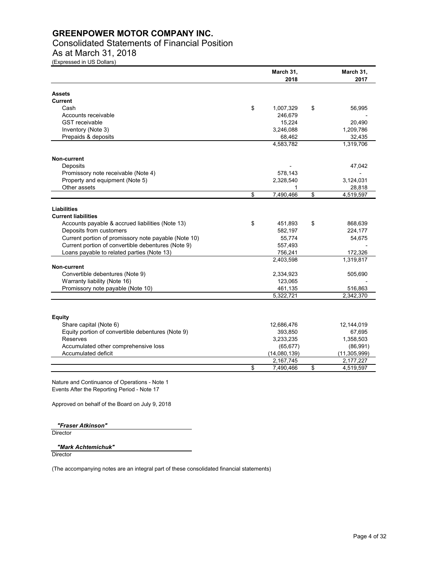# **GREENPOWER MOTOR COMPANY INC.**

# Consolidated Statements of Financial Position

As at March 31, 2018

(Expressed in US Dollars)

|                                                                                                                                                                                                                                                                                                                                                                                                             | March 31,<br>2018                                                                                        | March 31,<br>2017                                                                |
|-------------------------------------------------------------------------------------------------------------------------------------------------------------------------------------------------------------------------------------------------------------------------------------------------------------------------------------------------------------------------------------------------------------|----------------------------------------------------------------------------------------------------------|----------------------------------------------------------------------------------|
| <b>Assets</b>                                                                                                                                                                                                                                                                                                                                                                                               |                                                                                                          |                                                                                  |
| <b>Current</b>                                                                                                                                                                                                                                                                                                                                                                                              |                                                                                                          |                                                                                  |
| Cash                                                                                                                                                                                                                                                                                                                                                                                                        | \$<br>1,007,329                                                                                          | \$<br>56,995                                                                     |
| Accounts receivable                                                                                                                                                                                                                                                                                                                                                                                         | 246,679                                                                                                  |                                                                                  |
| <b>GST</b> receivable                                                                                                                                                                                                                                                                                                                                                                                       | 15,224                                                                                                   | 20,490                                                                           |
| Inventory (Note 3)                                                                                                                                                                                                                                                                                                                                                                                          | 3,246,088                                                                                                | 1,209,786                                                                        |
| Prepaids & deposits                                                                                                                                                                                                                                                                                                                                                                                         | 68,462                                                                                                   | 32,435                                                                           |
|                                                                                                                                                                                                                                                                                                                                                                                                             | 4,583,782                                                                                                | 1,319,706                                                                        |
| Non-current                                                                                                                                                                                                                                                                                                                                                                                                 |                                                                                                          |                                                                                  |
| Deposits                                                                                                                                                                                                                                                                                                                                                                                                    |                                                                                                          | 47,042                                                                           |
| Promissory note receivable (Note 4)                                                                                                                                                                                                                                                                                                                                                                         | 578,143                                                                                                  |                                                                                  |
| Property and equipment (Note 5)                                                                                                                                                                                                                                                                                                                                                                             | 2,328,540                                                                                                | 3,124,031                                                                        |
| Other assets                                                                                                                                                                                                                                                                                                                                                                                                | 1                                                                                                        | 28,818                                                                           |
|                                                                                                                                                                                                                                                                                                                                                                                                             | \$<br>7,490,466                                                                                          | \$<br>4,519,597                                                                  |
| Liabilities<br><b>Current liabilities</b><br>Accounts payable & accrued liabilities (Note 13)<br>Deposits from customers<br>Current portion of promissory note payable (Note 10)<br>Current portion of convertible debentures (Note 9)<br>Loans payable to related parties (Note 13)<br>Non-current<br>Convertible debentures (Note 9)<br>Warranty liability (Note 16)<br>Promissory note payable (Note 10) | \$<br>451,893<br>582,197<br>55,774<br>557,493<br>756,241<br>2,403,598<br>2,334,923<br>123,065<br>461,135 | \$<br>868,639<br>224,177<br>54,675<br>172,326<br>1,319,817<br>505,690<br>516,863 |
|                                                                                                                                                                                                                                                                                                                                                                                                             | 5,322,721                                                                                                | 2,342,370                                                                        |
| <b>Equity</b>                                                                                                                                                                                                                                                                                                                                                                                               |                                                                                                          |                                                                                  |
| Share capital (Note 6)                                                                                                                                                                                                                                                                                                                                                                                      | 12,686,476                                                                                               | 12,144,019                                                                       |
| Equity portion of convertible debentures (Note 9)<br>Reserves                                                                                                                                                                                                                                                                                                                                               | 393,850<br>3,233,235                                                                                     | 67,695<br>1,358,503                                                              |
|                                                                                                                                                                                                                                                                                                                                                                                                             |                                                                                                          |                                                                                  |
| Accumulated other comprehensive loss<br>Accumulated deficit                                                                                                                                                                                                                                                                                                                                                 | (65, 677)                                                                                                | (86,991)<br>(11, 305, 999)                                                       |
|                                                                                                                                                                                                                                                                                                                                                                                                             | (14,080,139)<br>2,167,745                                                                                | 2,177,227                                                                        |
|                                                                                                                                                                                                                                                                                                                                                                                                             | \$<br>7,490,466                                                                                          | \$<br>4,519,597                                                                  |
|                                                                                                                                                                                                                                                                                                                                                                                                             |                                                                                                          |                                                                                  |

Nature and Continuance of Operations - Note 1 Events After the Reporting Period - Note 17

Approved on behalf of the Board on July 9, 2018

*"Fraser Atkinson"*

**Director** 

*"Mark Achtemichuk"*

**Director**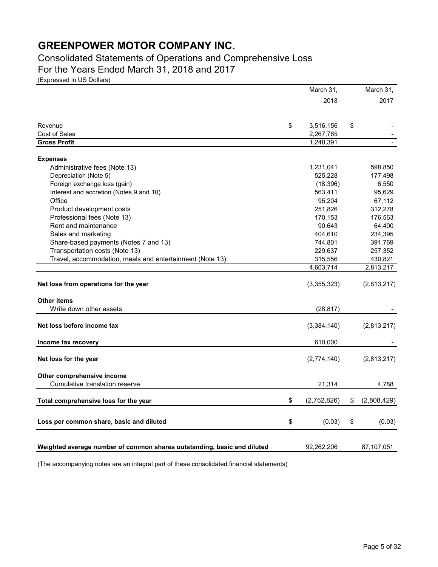# **GREENPOWER MOTOR COMPANY INC.**

Consolidated Statements of Operations and Comprehensive Loss For the Years Ended March 31, 2018 and 2017

(Expressed in US Dollars)

|                                                                         | March 31,         | March 31,         |
|-------------------------------------------------------------------------|-------------------|-------------------|
|                                                                         | 2018              | 2017              |
|                                                                         |                   |                   |
| Revenue                                                                 | \$<br>3,516,156   | \$                |
| Cost of Sales                                                           | 2,267,765         |                   |
| <b>Gross Profit</b>                                                     | 1,248,391         |                   |
| <b>Expenses</b>                                                         |                   |                   |
| Administrative fees (Note 13)                                           | 1,231,041         | 598,850           |
| Depreciation (Note 5)                                                   | 525,228           | 177,498           |
| Foreign exchange loss (gain)                                            | (18, 396)         | 6,550             |
| Interest and accretion (Notes 9 and 10)                                 | 563,411           | 95,629            |
| Office                                                                  | 95,204            | 67,112            |
| Product development costs                                               | 251,826           | 312,278           |
| Professional fees (Note 13)                                             | 170,153           | 176,563           |
| Rent and maintenance                                                    | 90,643            | 64,400            |
| Sales and marketing                                                     | 404,610           | 234,395           |
| Share-based payments (Notes 7 and 13)                                   | 744,801           | 391,769           |
| Transportation costs (Note 13)                                          | 229,637           | 257,352           |
| Travel, accommodation, meals and entertainment (Note 13)                | 315,556           | 430,821           |
|                                                                         | 4,603,714         | 2,813,217         |
| Net loss from operations for the year                                   | (3,355,323)       | (2,813,217)       |
| <b>Other items</b>                                                      |                   |                   |
| Write down other assets                                                 | (28, 817)         |                   |
| Net loss before income tax                                              | (3,384,140)       | (2,813,217)       |
| Income tax recovery                                                     | 610,000           |                   |
|                                                                         |                   |                   |
| Net loss for the year                                                   | (2,774,140)       | (2,813,217)       |
| Other comprehensive income                                              |                   |                   |
| Cumulative translation reserve                                          | 21,314            | 4,788             |
| Total comprehensive loss for the year                                   | \$<br>(2,752,826) | \$<br>(2,808,429) |
| Loss per common share, basic and diluted                                | \$<br>(0.03)      | \$<br>(0.03)      |
| Weighted average number of common shares outstanding, basic and diluted | 92,262,206        | 87,107,051        |
|                                                                         |                   |                   |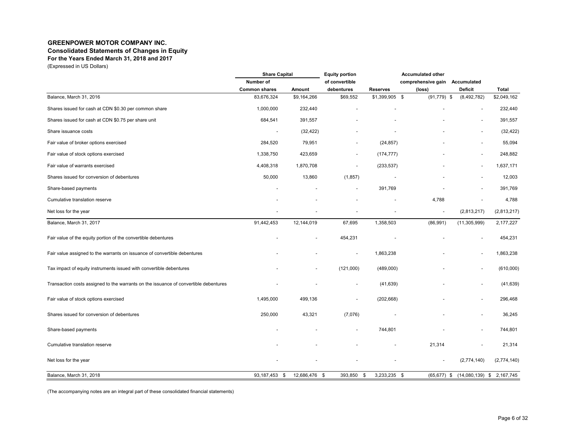#### **For the Years Ended March 31, 2018 and 2017 GREENPOWER MOTOR COMPANY INC. Consolidated Statements of Changes in Equity**

(Expressed in US Dollars)

|                                                                                      | <b>Share Capital</b>     |               | <b>Equity portion</b>    | <b>Accumulated other</b> |                    |                          |              |  |
|--------------------------------------------------------------------------------------|--------------------------|---------------|--------------------------|--------------------------|--------------------|--------------------------|--------------|--|
|                                                                                      | Number of                |               | of convertible           |                          | comprehensive gain | Accumulated              |              |  |
|                                                                                      | <b>Common shares</b>     | Amount        | debentures               | <b>Reserves</b>          | (loss)             | <b>Deficit</b>           | <b>Total</b> |  |
| Balance, March 31, 2016                                                              | 83,676,324               | \$9,164,266   | \$69,552                 | \$1,399,905 \$           | $(91, 779)$ \$     | (8,492,782)              | \$2,049,162  |  |
| Shares issued for cash at CDN \$0.30 per common share                                | 1,000,000                | 232,440       |                          |                          |                    | $\sim$                   | 232,440      |  |
| Shares issued for cash at CDN \$0.75 per share unit                                  | 684,541                  | 391,557       |                          |                          |                    |                          | 391,557      |  |
| Share issuance costs                                                                 | $\overline{\phantom{a}}$ | (32, 422)     |                          |                          |                    | $\overline{\phantom{a}}$ | (32, 422)    |  |
| Fair value of broker options exercised                                               | 284,520                  | 79,951        | $\overline{\phantom{a}}$ | (24, 857)                |                    |                          | 55,094       |  |
| Fair value of stock options exercised                                                | 1,338,750                | 423,659       |                          | (174, 777)               |                    |                          | 248,882      |  |
| Fair value of warrants exercised                                                     | 4,408,318                | 1,870,708     | $\overline{\phantom{a}}$ | (233, 537)               |                    | $\overline{a}$           | 1,637,171    |  |
| Shares issued for conversion of debentures                                           | 50,000                   | 13,860        | (1, 857)                 |                          |                    |                          | 12,003       |  |
| Share-based payments                                                                 | ÷                        |               | $\overline{\phantom{a}}$ | 391,769                  |                    |                          | 391,769      |  |
| Cumulative translation reserve                                                       |                          |               |                          |                          | 4,788              |                          | 4,788        |  |
| Net loss for the year                                                                |                          |               |                          |                          | $\sim$             | (2,813,217)              | (2,813,217)  |  |
| Balance, March 31, 2017                                                              | 91,442,453               | 12,144,019    | 67,695                   | 1,358,503                | (86,991)           | (11, 305, 999)           | 2,177,227    |  |
| Fair value of the equity portion of the convertible debentures                       |                          |               | 454,231                  |                          |                    |                          | 454,231      |  |
| Fair value assigned to the warrants on issuance of convertible debentures            |                          |               |                          | 1,863,238                |                    |                          | 1,863,238    |  |
| Tax impact of equity instruments issued with convertible debentures                  |                          |               | (121,000)                | (489,000)                |                    |                          | (610,000)    |  |
| Transaction costs assigned to the warrants on the issuance of convertible debentures |                          |               |                          | (41, 639)                |                    |                          | (41, 639)    |  |
| Fair value of stock options exercised                                                | 1,495,000                | 499,136       |                          | (202, 668)               |                    |                          | 296,468      |  |
| Shares issued for conversion of debentures                                           | 250,000                  | 43,321        | (7,076)                  |                          |                    |                          | 36,245       |  |
| Share-based payments                                                                 |                          |               |                          | 744,801                  |                    |                          | 744,801      |  |
| Cumulative translation reserve                                                       |                          |               |                          |                          | 21,314             |                          | 21,314       |  |
| Net loss for the year                                                                |                          |               |                          |                          |                    | (2,774,140)              | (2,774,140)  |  |
| Balance, March 31, 2018                                                              | 93,187,453 \$            | 12,686,476 \$ | 393,850<br>\$            | 3,233,235 \$             | $(65, 677)$ \$     | (14,080,139)<br>\$       | 2,167,745    |  |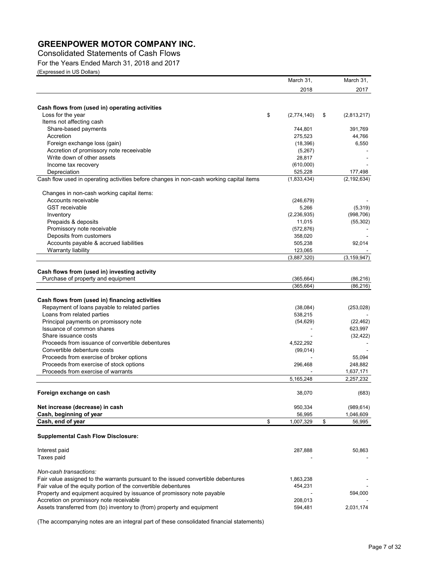# **GREENPOWER MOTOR COMPANY INC.**

Consolidated Statements of Cash Flows

For the Years Ended March 31, 2018 and 2017

(Expressed in US Dollars)

|                                                                                         | March 31,         | March 31,         |
|-----------------------------------------------------------------------------------------|-------------------|-------------------|
|                                                                                         | 2018              | 2017              |
|                                                                                         |                   |                   |
| Cash flows from (used in) operating activities                                          |                   |                   |
| Loss for the year                                                                       | \$<br>(2,774,140) | \$<br>(2,813,217) |
| Items not affecting cash                                                                |                   |                   |
| Share-based payments                                                                    | 744,801           | 391,769           |
| Accretion                                                                               | 275,523           | 44,766            |
| Foreign exchange loss (gain)                                                            | (18, 396)         | 6,550             |
| Accretion of promissory note receeivable                                                | (5,267)           |                   |
| Write down of other assets                                                              | 28,817            |                   |
| Income tax recovery                                                                     | (610,000)         |                   |
| Depreciation                                                                            | 525,228           | 177,498           |
| Cash flow used in operating activities before changes in non-cash working capital items | (1,833,434)       | (2, 192, 634)     |
| Changes in non-cash working capital items:                                              |                   |                   |
| Accounts receivable                                                                     | (246, 679)        |                   |
| <b>GST</b> receivable                                                                   | 5,266             | (5,319)           |
| Inventory                                                                               | (2, 236, 935)     | (998, 706)        |
| Prepaids & deposits                                                                     | 11,015            | (55, 302)         |
| Promissory note receivable                                                              | (572, 876)        |                   |
| Deposits from customers                                                                 | 358,020           |                   |
| Accounts payable & accrued liabilities                                                  | 505,238           | 92,014            |
| Warranty liability                                                                      | 123,065           |                   |
|                                                                                         | (3,887,320)       | (3, 159, 947)     |
|                                                                                         |                   |                   |
| Cash flows from (used in) investing activity                                            |                   |                   |
| Purchase of property and equipment                                                      | (365, 664)        | (86, 216)         |
|                                                                                         | (365, 664)        | (86, 216)         |
|                                                                                         |                   |                   |
| Cash flows from (used in) financing activities                                          |                   |                   |
| Repayment of loans payable to related parties                                           |                   |                   |
|                                                                                         | (38,084)          | (253, 028)        |
| Loans from related parties                                                              | 538,215           |                   |
| Principal payments on promissory note                                                   | (54, 629)         | (22, 462)         |
| Issuance of common shares                                                               |                   | 623,997           |
| Share issuance costs                                                                    |                   | (32, 422)         |
| Proceeds from issuance of convertible debentures                                        | 4,522,292         |                   |
| Convertible debenture costs                                                             | (99, 014)         |                   |
| Proceeds from exercise of broker options                                                |                   | 55,094            |
| Proceeds from exercise of stock options                                                 | 296,468           | 248,882           |
| Proceeds from exercise of warrants                                                      |                   | 1,637,171         |
|                                                                                         | 5,165,248         | 2,257,232         |
| Foreign exchange on cash                                                                | 38,070            | (683)             |
|                                                                                         |                   |                   |
| Net increase (decrease) in cash                                                         | 950,334           | (989, 614)        |
| Cash, beginning of year                                                                 | 56,995            | 1,046,609         |
| Cash, end of year                                                                       | \$<br>1,007,329   | \$<br>56,995      |
|                                                                                         |                   |                   |
| <b>Supplemental Cash Flow Disclosure:</b>                                               |                   |                   |
| Interest paid                                                                           | 287,888           | 50,863            |
| Taxes paid                                                                              |                   |                   |
|                                                                                         |                   |                   |
| Non-cash transactions:                                                                  |                   |                   |
| Fair value assigned to the warrants pursuant to the issued convertible debentures       | 1,863,238         |                   |
| Fair value of the equity portion of the convertible debentures                          | 454,231           |                   |
| Property and equipment acquired by issuance of promissory note payable                  |                   | 594,000           |
| Accretion on promissory note receivable                                                 | 208,013           |                   |
| Assets transferred from (to) inventory to (from) property and equipment                 | 594,481           | 2,031,174         |
|                                                                                         |                   |                   |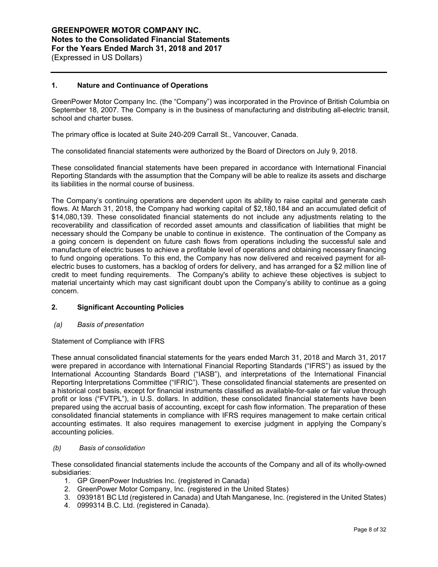(Expressed in US Dollars)

# **1. Nature and Continuance of Operations**

GreenPower Motor Company Inc. (the "Company") was incorporated in the Province of British Columbia on September 18, 2007. The Company is in the business of manufacturing and distributing all-electric transit, school and charter buses.

The primary office is located at Suite 240-209 Carrall St., Vancouver, Canada.

The consolidated financial statements were authorized by the Board of Directors on July 9, 2018.

These consolidated financial statements have been prepared in accordance with International Financial Reporting Standards with the assumption that the Company will be able to realize its assets and discharge its liabilities in the normal course of business.

The Company's continuing operations are dependent upon its ability to raise capital and generate cash flows. At March 31, 2018, the Company had working capital of \$2,180,184 and an accumulated deficit of \$14,080,139. These consolidated financial statements do not include any adjustments relating to the recoverability and classification of recorded asset amounts and classification of liabilities that might be necessary should the Company be unable to continue in existence. The continuation of the Company as a going concern is dependent on future cash flows from operations including the successful sale and manufacture of electric buses to achieve a profitable level of operations and obtaining necessary financing to fund ongoing operations. To this end, the Company has now delivered and received payment for allelectric buses to customers, has a backlog of orders for delivery, and has arranged for a \$2 million line of credit to meet funding requirements. The Company's ability to achieve these objectives is subject to material uncertainty which may cast significant doubt upon the Company's ability to continue as a going concern.

# **2. Significant Accounting Policies**

*(a) Basis of presentation*

Statement of Compliance with IFRS

These annual consolidated financial statements for the years ended March 31, 2018 and March 31, 2017 were prepared in accordance with International Financial Reporting Standards ("IFRS") as issued by the International Accounting Standards Board ("IASB"), and interpretations of the International Financial Reporting Interpretations Committee ("IFRIC"). These consolidated financial statements are presented on a historical cost basis, except for financial instruments classified as available-for-sale or fair value through profit or loss ("FVTPL"), in U.S. dollars. In addition, these consolidated financial statements have been prepared using the accrual basis of accounting, except for cash flow information. The preparation of these consolidated financial statements in compliance with IFRS requires management to make certain critical accounting estimates. It also requires management to exercise judgment in applying the Company's accounting policies.

#### *(b) Basis of consolidation*

These consolidated financial statements include the accounts of the Company and all of its wholly-owned subsidiaries:

- 1. GP GreenPower Industries Inc. (registered in Canada)
- 2. GreenPower Motor Company, Inc. (registered in the United States)
- 3. 0939181 BC Ltd (registered in Canada) and Utah Manganese, Inc. (registered in the United States)
- 4. 0999314 B.C. Ltd. (registered in Canada).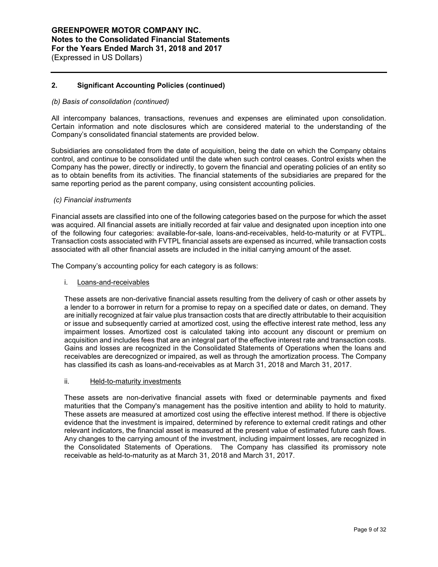(Expressed in US Dollars)

# **2. Significant Accounting Policies (continued)**

#### *(b) Basis of consolidation (continued)*

All intercompany balances, transactions, revenues and expenses are eliminated upon consolidation. Certain information and note disclosures which are considered material to the understanding of the Company's consolidated financial statements are provided below.

Subsidiaries are consolidated from the date of acquisition, being the date on which the Company obtains control, and continue to be consolidated until the date when such control ceases. Control exists when the Company has the power, directly or indirectly, to govern the financial and operating policies of an entity so as to obtain benefits from its activities. The financial statements of the subsidiaries are prepared for the same reporting period as the parent company, using consistent accounting policies.

#### *(c) Financial instruments*

Financial assets are classified into one of the following categories based on the purpose for which the asset was acquired. All financial assets are initially recorded at fair value and designated upon inception into one of the following four categories: available-for-sale, loans-and-receivables, held-to-maturity or at FVTPL. Transaction costs associated with FVTPL financial assets are expensed as incurred, while transaction costs associated with all other financial assets are included in the initial carrying amount of the asset.

The Company's accounting policy for each category is as follows:

#### i. Loans-and-receivables

These assets are non-derivative financial assets resulting from the delivery of cash or other assets by a lender to a borrower in return for a promise to repay on a specified date or dates, on demand. They are initially recognized at fair value plus transaction costs that are directly attributable to their acquisition or issue and subsequently carried at amortized cost, using the effective interest rate method, less any impairment losses. Amortized cost is calculated taking into account any discount or premium on acquisition and includes fees that are an integral part of the effective interest rate and transaction costs. Gains and losses are recognized in the Consolidated Statements of Operations when the loans and receivables are derecognized or impaired, as well as through the amortization process. The Company has classified its cash as loans-and-receivables as at March 31, 2018 and March 31, 2017.

#### ii. Held-to-maturity investments

These assets are non-derivative financial assets with fixed or determinable payments and fixed maturities that the Company's management has the positive intention and ability to hold to maturity. These assets are measured at amortized cost using the effective interest method. If there is objective evidence that the investment is impaired, determined by reference to external credit ratings and other relevant indicators, the financial asset is measured at the present value of estimated future cash flows. Any changes to the carrying amount of the investment, including impairment losses, are recognized in the Consolidated Statements of Operations. The Company has classified its promissory note receivable as held-to-maturity as at March 31, 2018 and March 31, 2017.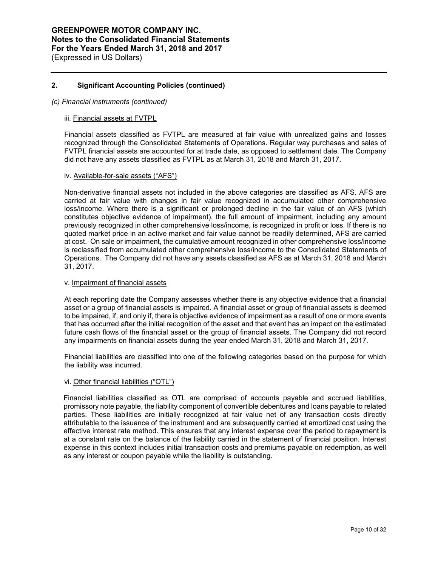(Expressed in US Dollars)

### **2. Significant Accounting Policies (continued)**

### *(c) Financial instruments (continued)*

#### iii. Financial assets at FVTPL

Financial assets classified as FVTPL are measured at fair value with unrealized gains and losses recognized through the Consolidated Statements of Operations. Regular way purchases and sales of FVTPL financial assets are accounted for at trade date, as opposed to settlement date. The Company did not have any assets classified as FVTPL as at March 31, 2018 and March 31, 2017.

#### iv. Available-for-sale assets ("AFS")

Non-derivative financial assets not included in the above categories are classified as AFS. AFS are carried at fair value with changes in fair value recognized in accumulated other comprehensive loss/income. Where there is a significant or prolonged decline in the fair value of an AFS (which constitutes objective evidence of impairment), the full amount of impairment, including any amount previously recognized in other comprehensive loss/income, is recognized in profit or loss. If there is no quoted market price in an active market and fair value cannot be readily determined, AFS are carried at cost. On sale or impairment, the cumulative amount recognized in other comprehensive loss/income is reclassified from accumulated other comprehensive loss/income to the Consolidated Statements of Operations. The Company did not have any assets classified as AFS as at March 31, 2018 and March 31, 2017.

#### v. Impairment of financial assets

At each reporting date the Company assesses whether there is any objective evidence that a financial asset or a group of financial assets is impaired. A financial asset or group of financial assets is deemed to be impaired, if, and only if, there is objective evidence of impairment as a result of one or more events that has occurred after the initial recognition of the asset and that event has an impact on the estimated future cash flows of the financial asset or the group of financial assets. The Company did not record any impairments on financial assets during the year ended March 31, 2018 and March 31, 2017.

Financial liabilities are classified into one of the following categories based on the purpose for which the liability was incurred.

### vi. Other financial liabilities ("OTL")

Financial liabilities classified as OTL are comprised of accounts payable and accrued liabilities, promissory note payable, the liability component of convertible debentures and loans payable to related parties. These liabilities are initially recognized at fair value net of any transaction costs directly attributable to the issuance of the instrument and are subsequently carried at amortized cost using the effective interest rate method. This ensures that any interest expense over the period to repayment is at a constant rate on the balance of the liability carried in the statement of financial position. Interest expense in this context includes initial transaction costs and premiums payable on redemption, as well as any interest or coupon payable while the liability is outstanding.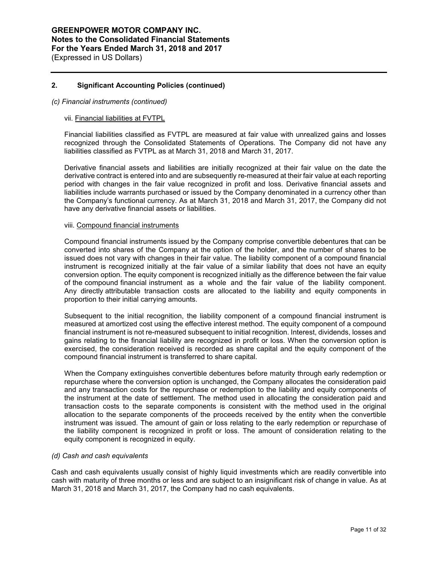(Expressed in US Dollars)

### **2. Significant Accounting Policies (continued)**

#### *(c) Financial instruments (continued)*

#### vii. Financial liabilities at FVTPL

Financial liabilities classified as FVTPL are measured at fair value with unrealized gains and losses recognized through the Consolidated Statements of Operations. The Company did not have any liabilities classified as FVTPL as at March 31, 2018 and March 31, 2017.

Derivative financial assets and liabilities are initially recognized at their fair value on the date the derivative contract is entered into and are subsequently re-measured at their fair value at each reporting period with changes in the fair value recognized in profit and loss. Derivative financial assets and liabilities include warrants purchased or issued by the Company denominated in a currency other than the Company's functional currency. As at March 31, 2018 and March 31, 2017, the Company did not have any derivative financial assets or liabilities.

#### viii. Compound financial instruments

Compound financial instruments issued by the Company comprise convertible debentures that can be converted into shares of the Company at the option of the holder, and the number of shares to be issued does not vary with changes in their fair value. The liability component of a compound financial instrument is recognized initially at the fair value of a similar liability that does not have an equity conversion option. The equity component is recognized initially as the difference between the fair value of the compound financial instrument as a whole and the fair value of the liability component. Any directly attributable transaction costs are allocated to the liability and equity components in proportion to their initial carrying amounts.

Subsequent to the initial recognition, the liability component of a compound financial instrument is measured at amortized cost using the effective interest method. The equity component of a compound financial instrument is not re-measured subsequent to initial recognition. Interest, dividends, losses and gains relating to the financial liability are recognized in profit or loss. When the conversion option is exercised, the consideration received is recorded as share capital and the equity component of the compound financial instrument is transferred to share capital.

When the Company extinguishes convertible debentures before maturity through early redemption or repurchase where the conversion option is unchanged, the Company allocates the consideration paid and any transaction costs for the repurchase or redemption to the liability and equity components of the instrument at the date of settlement. The method used in allocating the consideration paid and transaction costs to the separate components is consistent with the method used in the original allocation to the separate components of the proceeds received by the entity when the convertible instrument was issued. The amount of gain or loss relating to the early redemption or repurchase of the liability component is recognized in profit or loss. The amount of consideration relating to the equity component is recognized in equity.

#### *(d) Cash and cash equivalents*

Cash and cash equivalents usually consist of highly liquid investments which are readily convertible into cash with maturity of three months or less and are subject to an insignificant risk of change in value. As at March 31, 2018 and March 31, 2017, the Company had no cash equivalents.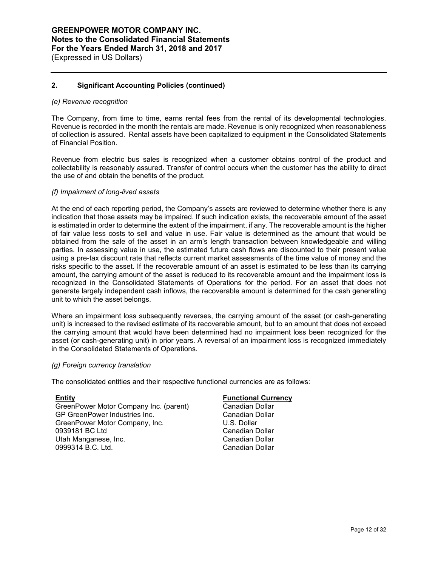(Expressed in US Dollars)

# **2. Significant Accounting Policies (continued)**

#### *(e) Revenue recognition*

The Company, from time to time, earns rental fees from the rental of its developmental technologies. Revenue is recorded in the month the rentals are made. Revenue is only recognized when reasonableness of collection is assured. Rental assets have been capitalized to equipment in the Consolidated Statements of Financial Position.

Revenue from electric bus sales is recognized when a customer obtains control of the product and collectability is reasonably assured. Transfer of control occurs when the customer has the ability to direct the use of and obtain the benefits of the product.

### *(f) Impairment of long-lived assets*

At the end of each reporting period, the Company's assets are reviewed to determine whether there is any indication that those assets may be impaired. If such indication exists, the recoverable amount of the asset is estimated in order to determine the extent of the impairment, if any. The recoverable amount is the higher of fair value less costs to sell and value in use. Fair value is determined as the amount that would be obtained from the sale of the asset in an arm's length transaction between knowledgeable and willing parties. In assessing value in use, the estimated future cash flows are discounted to their present value using a pre-tax discount rate that reflects current market assessments of the time value of money and the risks specific to the asset. If the recoverable amount of an asset is estimated to be less than its carrying amount, the carrying amount of the asset is reduced to its recoverable amount and the impairment loss is recognized in the Consolidated Statements of Operations for the period. For an asset that does not generate largely independent cash inflows, the recoverable amount is determined for the cash generating unit to which the asset belongs.

Where an impairment loss subsequently reverses, the carrying amount of the asset (or cash-generating unit) is increased to the revised estimate of its recoverable amount, but to an amount that does not exceed the carrying amount that would have been determined had no impairment loss been recognized for the asset (or cash-generating unit) in prior years. A reversal of an impairment loss is recognized immediately in the Consolidated Statements of Operations.

#### *(g) Foreign currency translation*

The consolidated entities and their respective functional currencies are as follows:

GreenPower Motor Company Inc. (parent) Canadian Dollar GP GreenPower Industries Inc. Canadian Dollar<br>GreenPower Motor Company. Inc. Canadian Dollar U.S. Dollar GreenPower Motor Company, Inc. 0939181 BC Ltd Canadian Dollar Utah Manganese, Inc. **Canadian Dollar** Canadian Dollar 0999314 B.C. Ltd. Canadian Dollar

# **Entity Functional Currency**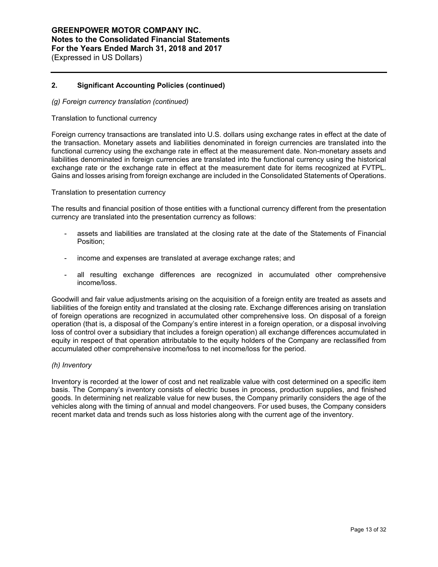(Expressed in US Dollars)

# **2. Significant Accounting Policies (continued)**

### *(g) Foreign currency translation (continued)*

#### Translation to functional currency

Foreign currency transactions are translated into U.S. dollars using exchange rates in effect at the date of the transaction. Monetary assets and liabilities denominated in foreign currencies are translated into the functional currency using the exchange rate in effect at the measurement date. Non-monetary assets and liabilities denominated in foreign currencies are translated into the functional currency using the historical exchange rate or the exchange rate in effect at the measurement date for items recognized at FVTPL. Gains and losses arising from foreign exchange are included in the Consolidated Statements of Operations.

#### Translation to presentation currency

The results and financial position of those entities with a functional currency different from the presentation currency are translated into the presentation currency as follows:

- assets and liabilities are translated at the closing rate at the date of the Statements of Financial Position;
- income and expenses are translated at average exchange rates; and
- all resulting exchange differences are recognized in accumulated other comprehensive income/loss.

Goodwill and fair value adjustments arising on the acquisition of a foreign entity are treated as assets and liabilities of the foreign entity and translated at the closing rate. Exchange differences arising on translation of foreign operations are recognized in accumulated other comprehensive loss. On disposal of a foreign operation (that is, a disposal of the Company's entire interest in a foreign operation, or a disposal involving loss of control over a subsidiary that includes a foreign operation) all exchange differences accumulated in equity in respect of that operation attributable to the equity holders of the Company are reclassified from accumulated other comprehensive income/loss to net income/loss for the period.

#### *(h) Inventory*

Inventory is recorded at the lower of cost and net realizable value with cost determined on a specific item basis. The Company's inventory consists of electric buses in process, production supplies, and finished goods. In determining net realizable value for new buses, the Company primarily considers the age of the vehicles along with the timing of annual and model changeovers. For used buses, the Company considers recent market data and trends such as loss histories along with the current age of the inventory.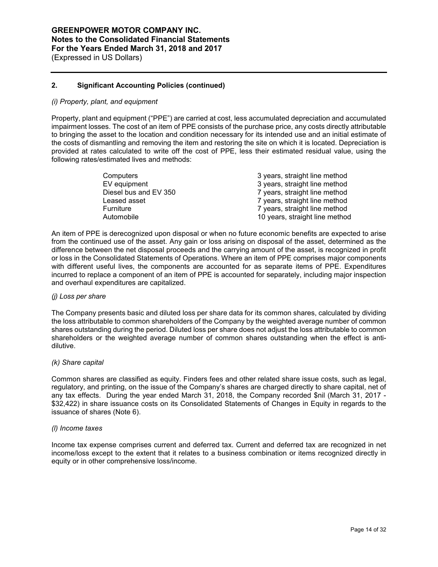(Expressed in US Dollars)

# **2. Significant Accounting Policies (continued)**

### *(i) Property, plant, and equipment*

Property, plant and equipment ("PPE") are carried at cost, less accumulated depreciation and accumulated impairment losses. The cost of an item of PPE consists of the purchase price, any costs directly attributable to bringing the asset to the location and condition necessary for its intended use and an initial estimate of the costs of dismantling and removing the item and restoring the site on which it is located. Depreciation is provided at rates calculated to write off the cost of PPE, less their estimated residual value, using the following rates/estimated lives and methods:

| Computers             | 3 years, straight line method  |
|-----------------------|--------------------------------|
| EV equipment          | 3 years, straight line method  |
| Diesel bus and EV 350 | 7 years, straight line method  |
| Leased asset          | 7 years, straight line method  |
| Furniture             | 7 years, straight line method  |
| Automobile            | 10 years, straight line method |

An item of PPE is derecognized upon disposal or when no future economic benefits are expected to arise from the continued use of the asset. Any gain or loss arising on disposal of the asset, determined as the difference between the net disposal proceeds and the carrying amount of the asset, is recognized in profit or loss in the Consolidated Statements of Operations. Where an item of PPE comprises major components with different useful lives, the components are accounted for as separate items of PPE. Expenditures incurred to replace a component of an item of PPE is accounted for separately, including major inspection and overhaul expenditures are capitalized.

### *(j) Loss per share*

The Company presents basic and diluted loss per share data for its common shares, calculated by dividing the loss attributable to common shareholders of the Company by the weighted average number of common shares outstanding during the period. Diluted loss per share does not adjust the loss attributable to common shareholders or the weighted average number of common shares outstanding when the effect is antidilutive.

### *(k) Share capital*

Common shares are classified as equity. Finders fees and other related share issue costs, such as legal, regulatory, and printing, on the issue of the Company's shares are charged directly to share capital, net of any tax effects. During the year ended March 31, 2018, the Company recorded \$nil (March 31, 2017 - \$32,422) in share issuance costs on its Consolidated Statements of Changes in Equity in regards to the issuance of shares (Note 6).

#### *(l) Income taxes*

Income tax expense comprises current and deferred tax. Current and deferred tax are recognized in net income/loss except to the extent that it relates to a business combination or items recognized directly in equity or in other comprehensive loss/income.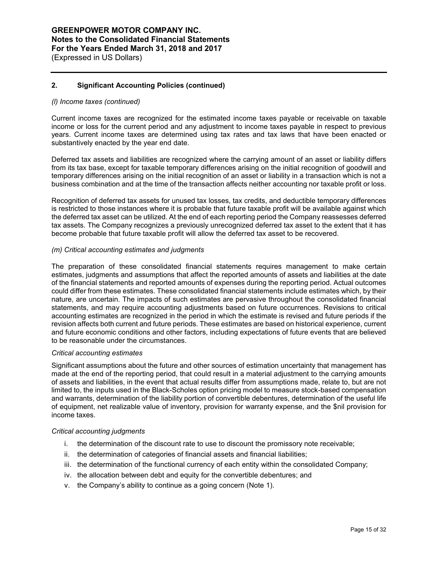(Expressed in US Dollars)

# **2. Significant Accounting Policies (continued)**

#### *(l) Income taxes (continued)*

Current income taxes are recognized for the estimated income taxes payable or receivable on taxable income or loss for the current period and any adjustment to income taxes payable in respect to previous years. Current income taxes are determined using tax rates and tax laws that have been enacted or substantively enacted by the year end date.

Deferred tax assets and liabilities are recognized where the carrying amount of an asset or liability differs from its tax base, except for taxable temporary differences arising on the initial recognition of goodwill and temporary differences arising on the initial recognition of an asset or liability in a transaction which is not a business combination and at the time of the transaction affects neither accounting nor taxable profit or loss.

Recognition of deferred tax assets for unused tax losses, tax credits, and deductible temporary differences is restricted to those instances where it is probable that future taxable profit will be available against which the deferred tax asset can be utilized. At the end of each reporting period the Company reassesses deferred tax assets. The Company recognizes a previously unrecognized deferred tax asset to the extent that it has become probable that future taxable profit will allow the deferred tax asset to be recovered.

### *(m) Critical accounting estimates and judgments*

The preparation of these consolidated financial statements requires management to make certain estimates, judgments and assumptions that affect the reported amounts of assets and liabilities at the date of the financial statements and reported amounts of expenses during the reporting period. Actual outcomes could differ from these estimates. These consolidated financial statements include estimates which, by their nature, are uncertain. The impacts of such estimates are pervasive throughout the consolidated financial statements, and may require accounting adjustments based on future occurrences. Revisions to critical accounting estimates are recognized in the period in which the estimate is revised and future periods if the revision affects both current and future periods. These estimates are based on historical experience, current and future economic conditions and other factors, including expectations of future events that are believed to be reasonable under the circumstances.

#### *Critical accounting estimates*

Significant assumptions about the future and other sources of estimation uncertainty that management has made at the end of the reporting period, that could result in a material adjustment to the carrying amounts of assets and liabilities, in the event that actual results differ from assumptions made, relate to, but are not limited to, the inputs used in the Black-Scholes option pricing model to measure stock-based compensation and warrants, determination of the liability portion of convertible debentures, determination of the useful life of equipment, net realizable value of inventory, provision for warranty expense, and the \$nil provision for income taxes.

#### *Critical accounting judgments*

- i. the determination of the discount rate to use to discount the promissory note receivable;
- ii. the determination of categories of financial assets and financial liabilities;
- iii. the determination of the functional currency of each entity within the consolidated Company;
- iv. the allocation between debt and equity for the convertible debentures; and
- v. the Company's ability to continue as a going concern (Note 1).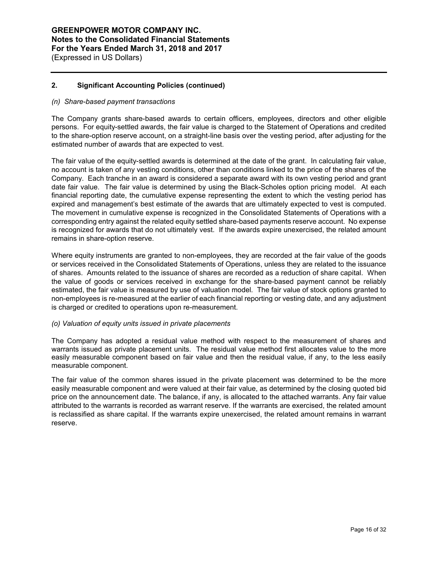(Expressed in US Dollars)

# **2. Significant Accounting Policies (continued)**

#### *(n) Share-based payment transactions*

The Company grants share-based awards to certain officers, employees, directors and other eligible persons. For equity-settled awards, the fair value is charged to the Statement of Operations and credited to the share-option reserve account, on a straight-line basis over the vesting period, after adjusting for the estimated number of awards that are expected to vest.

The fair value of the equity-settled awards is determined at the date of the grant. In calculating fair value, no account is taken of any vesting conditions, other than conditions linked to the price of the shares of the Company. Each tranche in an award is considered a separate award with its own vesting period and grant date fair value. The fair value is determined by using the Black-Scholes option pricing model. At each financial reporting date, the cumulative expense representing the extent to which the vesting period has expired and management's best estimate of the awards that are ultimately expected to vest is computed. The movement in cumulative expense is recognized in the Consolidated Statements of Operations with a corresponding entry against the related equity settled share-based payments reserve account. No expense is recognized for awards that do not ultimately vest. If the awards expire unexercised, the related amount remains in share-option reserve.

Where equity instruments are granted to non-employees, they are recorded at the fair value of the goods or services received in the Consolidated Statements of Operations, unless they are related to the issuance of shares. Amounts related to the issuance of shares are recorded as a reduction of share capital. When the value of goods or services received in exchange for the share-based payment cannot be reliably estimated, the fair value is measured by use of valuation model. The fair value of stock options granted to non-employees is re-measured at the earlier of each financial reporting or vesting date, and any adjustment is charged or credited to operations upon re-measurement.

### *(o) Valuation of equity units issued in private placements*

The Company has adopted a residual value method with respect to the measurement of shares and warrants issued as private placement units. The residual value method first allocates value to the more easily measurable component based on fair value and then the residual value, if any, to the less easily measurable component.

The fair value of the common shares issued in the private placement was determined to be the more easily measurable component and were valued at their fair value, as determined by the closing quoted bid price on the announcement date. The balance, if any, is allocated to the attached warrants. Any fair value attributed to the warrants is recorded as warrant reserve. If the warrants are exercised, the related amount is reclassified as share capital. If the warrants expire unexercised, the related amount remains in warrant reserve.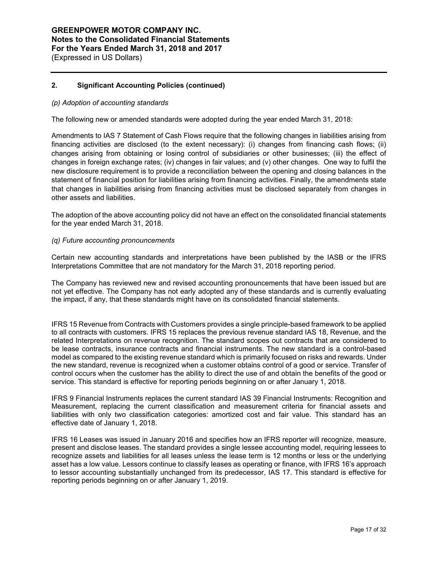(Expressed in US Dollars)

# **2. Significant Accounting Policies (continued)**

### *(p) Adoption of accounting standards*

The following new or amended standards were adopted during the year ended March 31, 2018:

Amendments to IAS 7 Statement of Cash Flows require that the following changes in liabilities arising from financing activities are disclosed (to the extent necessary): (i) changes from financing cash flows; (ii) changes arising from obtaining or losing control of subsidiaries or other businesses; (iii) the effect of changes in foreign exchange rates; (iv) changes in fair values; and (v) other changes. One way to fulfil the new disclosure requirement is to provide a reconciliation between the opening and closing balances in the statement of financial position for liabilities arising from financing activities. Finally, the amendments state that changes in liabilities arising from financing activities must be disclosed separately from changes in other assets and liabilities.

The adoption of the above accounting policy did not have an effect on the consolidated financial statements for the year ended March 31, 2018.

#### *(q) Future accounting pronouncements*

Certain new accounting standards and interpretations have been published by the IASB or the IFRS Interpretations Committee that are not mandatory for the March 31, 2018 reporting period.

The Company has reviewed new and revised accounting pronouncements that have been issued but are not yet effective. The Company has not early adopted any of these standards and is currently evaluating the impact, if any, that these standards might have on its consolidated financial statements.

IFRS 15 Revenue from Contracts with Customers provides a single principle-based framework to be applied to all contracts with customers. IFRS 15 replaces the previous revenue standard IAS 18, Revenue, and the related Interpretations on revenue recognition. The standard scopes out contracts that are considered to be lease contracts, insurance contracts and financial instruments. The new standard is a control-based model as compared to the existing revenue standard which is primarily focused on risks and rewards. Under the new standard, revenue is recognized when a customer obtains control of a good or service. Transfer of control occurs when the customer has the ability to direct the use of and obtain the benefits of the good or service. This standard is effective for reporting periods beginning on or after January 1, 2018.

IFRS 9 Financial Instruments replaces the current standard IAS 39 Financial Instruments: Recognition and Measurement, replacing the current classification and measurement criteria for financial assets and liabilities with only two classification categories: amortized cost and fair value. This standard has an effective date of January 1, 2018.

IFRS 16 Leases was issued in January 2016 and specifies how an IFRS reporter will recognize, measure, present and disclose leases. The standard provides a single lessee accounting model, requiring lessees to recognize assets and liabilities for all leases unless the lease term is 12 months or less or the underlying asset has a low value. Lessors continue to classify leases as operating or finance, with IFRS 16's approach to lessor accounting substantially unchanged from its predecessor, IAS 17. This standard is effective for reporting periods beginning on or after January 1, 2019.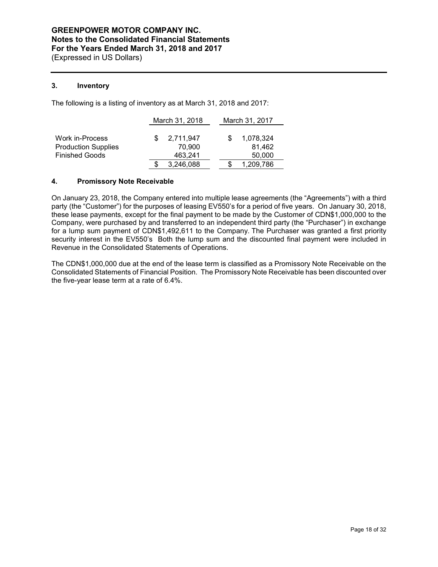### **3. Inventory**

The following is a listing of inventory as at March 31, 2018 and 2017:

|                            | March 31, 2018 | March 31, 2017 |
|----------------------------|----------------|----------------|
| Work in-Process            | 2.711.947      | 1,078,324      |
| <b>Production Supplies</b> | 70,900         | 81,462         |
| <b>Finished Goods</b>      | 463.241        | 50,000         |
|                            | 3,246,088      | 1.209.786      |

### **4. Promissory Note Receivable**

On January 23, 2018, the Company entered into multiple lease agreements (the "Agreements") with a third party (the "Customer") for the purposes of leasing EV550's for a period of five years. On January 30, 2018, these lease payments, except for the final payment to be made by the Customer of CDN\$1,000,000 to the Company, were purchased by and transferred to an independent third party (the "Purchaser") in exchange for a lump sum payment of CDN\$1,492,611 to the Company. The Purchaser was granted a first priority security interest in the EV550's Both the lump sum and the discounted final payment were included in Revenue in the Consolidated Statements of Operations.

The CDN\$1,000,000 due at the end of the lease term is classified as a Promissory Note Receivable on the Consolidated Statements of Financial Position. The Promissory Note Receivable has been discounted over the five-year lease term at a rate of 6.4%.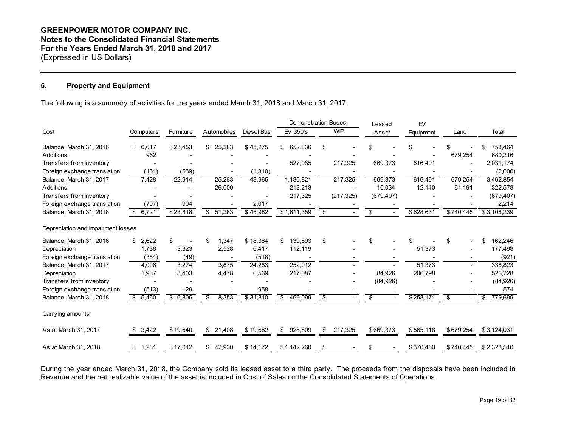# **5. Property and Equipment**

The following is a summary of activities for the years ended March 31, 2018 and March 31, 2017:

|                                    |             |           |              |            | <b>Demonstration Buses</b> |    |            | Leased     | EV        |           |               |  |
|------------------------------------|-------------|-----------|--------------|------------|----------------------------|----|------------|------------|-----------|-----------|---------------|--|
| Cost                               | Computers   | Furniture | Automobiles  | Diesel Bus | EV 350's                   |    | <b>WIP</b> | Asset      | Equipment | Land      | Total         |  |
| Balance, March 31, 2016            | 6,617<br>\$ | \$23,453  | 25,283<br>\$ | \$45,275   | 652,836<br>\$.             | \$ |            |            | \$        |           | 753,464       |  |
| Additions                          | 962         |           |              |            |                            |    |            |            |           | 679,254   | 680,216       |  |
| Transfers from inventory           |             |           |              |            | 527,985                    |    | 217,325    | 669,373    | 616,491   |           | 2,031,174     |  |
| Foreign exchange translation       | (151)       | (539)     |              | (1, 310)   |                            |    |            |            |           |           | (2,000)       |  |
| Balance, March 31, 2017            | 7,428       | 22,914    | 25,283       | 43,965     | 1,180,821                  |    | 217,325    | 669,373    | 616,491   | 679,254   | 3,462,854     |  |
| <b>Additions</b>                   |             |           | 26,000       |            | 213,213                    |    |            | 10,034     | 12,140    | 61,191    | 322,578       |  |
| Transfers from inventory           |             |           |              |            | 217,325                    |    | (217, 325) | (679, 407) |           |           | (679, 407)    |  |
| Foreign exchange translation       | (707)       | 904       |              | 2,017      |                            |    |            |            |           |           | 2,214         |  |
| Balance, March 31, 2018            | \$6,721     | \$23,818  | \$51,283     | \$45,982   | \$1,611,359                | \$ |            | \$         | \$628,631 | \$740,445 | \$3,108,239   |  |
| Depreciation and impairment losses |             |           |              |            |                            |    |            |            |           |           |               |  |
| Balance, March 31, 2016            | 2,622<br>\$ | \$        | 1,347<br>S   | \$18,384   | 139,893<br>\$              | \$ |            | \$         | \$        | S         | 162,246<br>\$ |  |
| Depreciation                       | 1,738       | 3,323     | 2,528        | 6,417      | 112,119                    |    |            |            | 51,373    |           | 177,498       |  |
| Foreign exchange translation       | (354)       | (49)      |              | (518)      |                            |    |            |            |           |           | (921)         |  |
| Balance, March 31, 2017            | 4,006       | 3,274     | 3,875        | 24,283     | 252,012                    |    |            |            | 51,373    |           | 338,823       |  |
| Depreciation                       | 1,967       | 3,403     | 4,478        | 6,569      | 217,087                    |    |            | 84,926     | 206,798   |           | 525,228       |  |
| Transfers from inventory           |             |           |              |            |                            |    |            | (84,926)   |           |           | (84, 926)     |  |
| Foreign exchange translation       | (513)       | 129       |              | 958        |                            |    |            |            |           |           | 574           |  |
| Balance, March 31, 2018            | 5,460<br>\$ | \$6,806   | 8,353<br>\$  | \$31,810   | 469,099<br>\$              | \$ |            | \$         | \$258,171 | \$        | 779,699<br>\$ |  |
| Carrying amounts                   |             |           |              |            |                            |    |            |            |           |           |               |  |
| As at March 31, 2017               | 3,422       | \$19,640  | 21,408<br>\$ | \$19,682   | 928,809<br>\$.             | S  | 217,325    | \$669,373  | \$565,118 | \$679,254 | \$3,124,031   |  |
| As at March 31, 2018               | 1,261<br>\$ | \$17,012  | \$42,930     | \$14,172   | \$1,142,260                | \$ |            | \$         | \$370,460 | \$740,445 | \$2,328,540   |  |

During the year ended March 31, 2018, the Company sold its leased asset to a third party. The proceeds from the disposals have been included in Revenue and the net realizable value of the asset is included in Cost of Sales on the Consolidated Statements of Operations.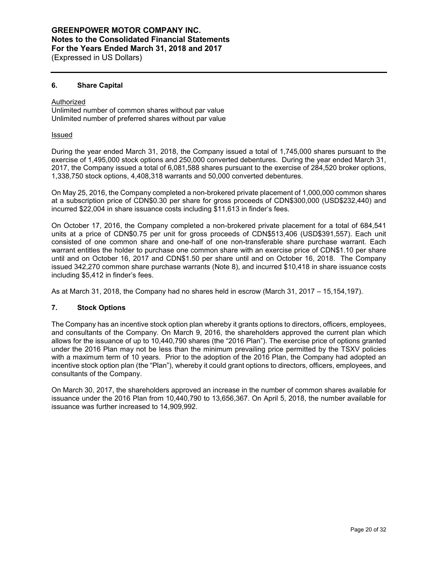(Expressed in US Dollars)

### **6. Share Capital**

### Authorized

Unlimited number of common shares without par value Unlimited number of preferred shares without par value

#### Issued

During the year ended March 31, 2018, the Company issued a total of 1,745,000 shares pursuant to the exercise of 1,495,000 stock options and 250,000 converted debentures. During the year ended March 31, 2017, the Company issued a total of 6,081,588 shares pursuant to the exercise of 284,520 broker options, 1,338,750 stock options, 4,408,318 warrants and 50,000 converted debentures.

On May 25, 2016, the Company completed a non-brokered private placement of 1,000,000 common shares at a subscription price of CDN\$0.30 per share for gross proceeds of CDN\$300,000 (USD\$232,440) and incurred \$22,004 in share issuance costs including \$11,613 in finder's fees.

On October 17, 2016, the Company completed a non-brokered private placement for a total of 684,541 units at a price of CDN\$0.75 per unit for gross proceeds of CDN\$513,406 (USD\$391,557). Each unit consisted of one common share and one-half of one non-transferable share purchase warrant. Each warrant entitles the holder to purchase one common share with an exercise price of CDN\$1.10 per share until and on October 16, 2017 and CDN\$1.50 per share until and on October 16, 2018. The Company issued 342,270 common share purchase warrants (Note 8), and incurred \$10,418 in share issuance costs including \$5,412 in finder's fees.

As at March 31, 2018, the Company had no shares held in escrow (March 31, 2017 – 15,154,197).

### **7. Stock Options**

The Company has an incentive stock option plan whereby it grants options to directors, officers, employees, and consultants of the Company. On March 9, 2016, the shareholders approved the current plan which allows for the issuance of up to 10,440,790 shares (the "2016 Plan"). The exercise price of options granted under the 2016 Plan may not be less than the minimum prevailing price permitted by the TSXV policies with a maximum term of 10 years. Prior to the adoption of the 2016 Plan, the Company had adopted an incentive stock option plan (the "Plan"), whereby it could grant options to directors, officers, employees, and consultants of the Company.

On March 30, 2017, the shareholders approved an increase in the number of common shares available for issuance under the 2016 Plan from 10,440,790 to 13,656,367. On April 5, 2018, the number available for issuance was further increased to 14,909,992.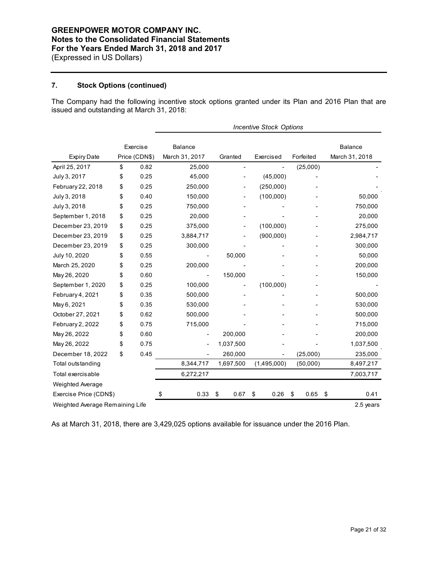(Expressed in US Dollars)

# **7. Stock Options (continued)**

The Company had the following incentive stock options granted under its Plan and 2016 Plan that are issued and outstanding at March 31, 2018:

|                                 |               |                | <b>Incentive Stock Options</b> |             |            |                |  |  |  |  |  |
|---------------------------------|---------------|----------------|--------------------------------|-------------|------------|----------------|--|--|--|--|--|
|                                 | Exercise      | <b>Balance</b> |                                |             |            | <b>Balance</b> |  |  |  |  |  |
| <b>Expiry Date</b>              | Price (CDN\$) | March 31, 2017 | Granted                        | Exercised   | Forfeited  | March 31, 2018 |  |  |  |  |  |
| April 25, 2017                  | \$<br>0.82    | 25,000         |                                |             | (25,000)   |                |  |  |  |  |  |
| July 3, 2017                    | \$<br>0.25    | 45,000         |                                | (45,000)    |            |                |  |  |  |  |  |
| February 22, 2018               | \$<br>0.25    | 250,000        | $\overline{\phantom{a}}$       | (250,000)   |            |                |  |  |  |  |  |
| July 3, 2018                    | \$<br>0.40    | 150,000        |                                | (100,000)   |            | 50,000         |  |  |  |  |  |
| July 3, 2018                    | \$<br>0.25    | 750,000        |                                |             |            | 750,000        |  |  |  |  |  |
| September 1, 2018               | \$<br>0.25    | 20,000         |                                |             |            | 20,000         |  |  |  |  |  |
| December 23, 2019               | \$<br>0.25    | 375,000        |                                | (100,000)   |            | 275,000        |  |  |  |  |  |
| December 23, 2019               | \$<br>0.25    | 3,884,717      |                                | (900,000)   |            | 2,984,717      |  |  |  |  |  |
| December 23, 2019               | \$<br>0.25    | 300,000        |                                |             |            | 300,000        |  |  |  |  |  |
| July 10, 2020                   | \$<br>0.55    |                | 50,000                         |             |            | 50,000         |  |  |  |  |  |
| March 25, 2020                  | \$<br>0.25    | 200,000        |                                |             |            | 200,000        |  |  |  |  |  |
| May 26, 2020                    | \$<br>0.60    |                | 150,000                        |             |            | 150,000        |  |  |  |  |  |
| September 1, 2020               | \$<br>0.25    | 100,000        |                                | (100,000)   |            |                |  |  |  |  |  |
| February 4, 2021                | \$<br>0.35    | 500,000        |                                |             |            | 500,000        |  |  |  |  |  |
| May 6, 2021                     | \$<br>0.35    | 530,000        |                                |             |            | 530,000        |  |  |  |  |  |
| October 27, 2021                | \$<br>0.62    | 500,000        |                                |             |            | 500,000        |  |  |  |  |  |
| February 2, 2022                | \$<br>0.75    | 715,000        |                                |             |            | 715,000        |  |  |  |  |  |
| May 26, 2022                    | \$<br>0.60    |                | 200,000                        |             |            | 200,000        |  |  |  |  |  |
| May 26, 2022                    | \$<br>0.75    |                | 1,037,500                      |             |            | 1,037,500      |  |  |  |  |  |
| December 18, 2022               | \$<br>0.45    |                | 260,000                        |             | (25,000)   | 235,000        |  |  |  |  |  |
| Total outstanding               |               | 8,344,717      | 1,697,500                      | (1,495,000) | (50,000)   | 8,497,217      |  |  |  |  |  |
| Total exercisable               |               | 6,272,217      |                                |             |            | 7,003,717      |  |  |  |  |  |
| <b>Weighted Average</b>         |               |                |                                |             |            |                |  |  |  |  |  |
| Exercise Price (CDN\$)          |               | 0.33<br>S      | \$<br>0.67                     | 0.26<br>\$  | \$<br>0.65 | 0.41<br>\$     |  |  |  |  |  |
| Weighted Average Remaining Life |               |                |                                |             |            | 2.5 years      |  |  |  |  |  |

As at March 31, 2018, there are 3,429,025 options available for issuance under the 2016 Plan.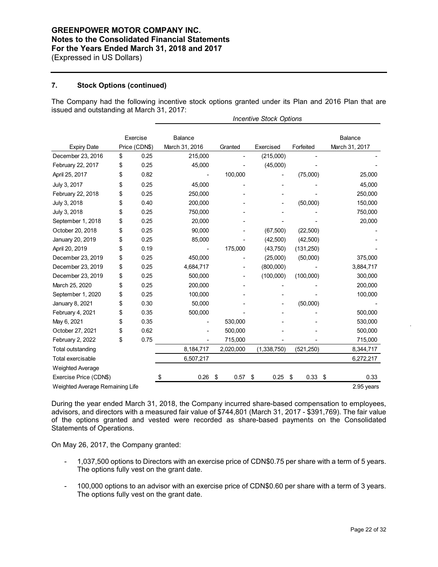(Expressed in US Dollars)

# **7. Stock Options (continued)**

The Company had the following incentive stock options granted under its Plan and 2016 Plan that are issued and outstanding at March 31, 2017:

|                                 |          |               |                |            | <b>Incentive Stock Options</b> |                    |                |
|---------------------------------|----------|---------------|----------------|------------|--------------------------------|--------------------|----------------|
|                                 | Exercise |               | <b>Balance</b> |            |                                |                    | Balance        |
| <b>Expiry Date</b>              |          | Price (CDN\$) | March 31, 2016 | Granted    | Exercised                      | Forfeited          | March 31, 2017 |
| December 23, 2016               | \$       | 0.25          | 215,000        |            | (215,000)                      |                    |                |
| February 22, 2017               | \$       | 0.25          | 45,000         |            | (45,000)                       |                    |                |
| April 25, 2017                  | \$       | 0.82          |                | 100,000    |                                | (75,000)           | 25,000         |
| July 3, 2017                    | \$       | 0.25          | 45,000         |            |                                |                    | 45,000         |
| February 22, 2018               | \$       | 0.25          | 250,000        |            |                                |                    | 250,000        |
| July 3, 2018                    | \$       | 0.40          | 200,000        |            |                                | (50,000)           | 150,000        |
| July 3, 2018                    | \$       | 0.25          | 750,000        |            |                                |                    | 750,000        |
| September 1, 2018               | \$       | 0.25          | 20,000         |            |                                |                    | 20,000         |
| October 20, 2018                | \$       | 0.25          | 90,000         |            | (67, 500)                      | (22, 500)          |                |
| January 20, 2019                | \$       | 0.25          | 85,000         |            | (42, 500)                      | (42,500)           |                |
| April 20, 2019                  | \$       | 0.19          |                | 175,000    | (43, 750)                      | (131, 250)         |                |
| December 23, 2019               | \$       | 0.25          | 450,000        |            | (25,000)                       | (50,000)           | 375,000        |
| December 23, 2019               | \$       | 0.25          | 4,684,717      |            | (800,000)                      |                    | 3,884,717      |
| December 23, 2019               | \$       | 0.25          | 500,000        |            | (100,000)                      | (100,000)          | 300,000        |
| March 25, 2020                  | \$       | 0.25          | 200,000        |            |                                |                    | 200,000        |
| September 1, 2020               | \$       | 0.25          | 100,000        |            |                                |                    | 100,000        |
| January 8, 2021                 | \$       | 0.30          | 50,000         |            |                                | (50,000)           |                |
| February 4, 2021                | \$       | 0.35          | 500,000        |            |                                |                    | 500,000        |
| May 6, 2021                     | \$       | 0.35          |                | 530,000    |                                |                    | 530,000        |
| October 27, 2021                | \$       | 0.62          |                | 500,000    |                                |                    | 500,000        |
| February 2, 2022                | \$       | 0.75          |                | 715,000    |                                |                    | 715,000        |
| Total outstanding               |          |               | 8,184,717      | 2,020,000  | (1,338,750)                    | (521, 250)         | 8,344,717      |
| Total exercisable               |          |               | 6,507,217      |            |                                |                    | 6,272,217      |
| Weighted Average                |          |               |                |            |                                |                    |                |
| Exercise Price (CDN\$)          |          |               | 0.26<br>S      | \$<br>0.57 | \$<br>0.25                     | 0.33<br>\$<br>- \$ | 0.33           |
| Weighted Average Remaining Life |          |               |                |            |                                |                    | 2.95 years     |

During the year ended March 31, 2018, the Company incurred share-based compensation to employees, advisors, and directors with a measured fair value of \$744,801 (March 31, 2017 - \$391,769). The fair value of the options granted and vested were recorded as share-based payments on the Consolidated Statements of Operations.

On May 26, 2017, the Company granted:

- 1,037,500 options to Directors with an exercise price of CDN\$0.75 per share with a term of 5 years. The options fully vest on the grant date.
- 100,000 options to an advisor with an exercise price of CDN\$0.60 per share with a term of 3 years. The options fully vest on the grant date.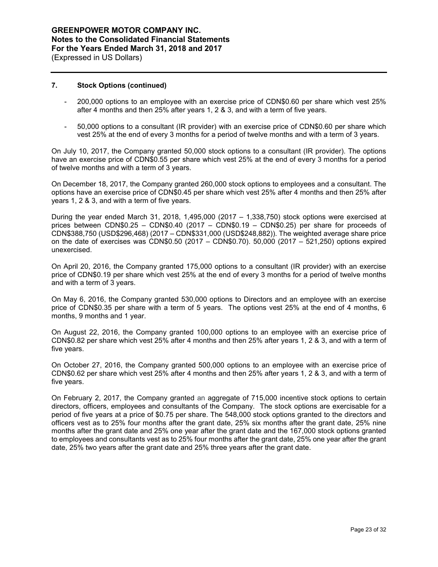**7. Stock Options (continued)**

- 200,000 options to an employee with an exercise price of CDN\$0.60 per share which vest 25% after 4 months and then 25% after years 1, 2 & 3, and with a term of five years.
- 50,000 options to a consultant (IR provider) with an exercise price of CDN\$0.60 per share which vest 25% at the end of every 3 months for a period of twelve months and with a term of 3 years.

On July 10, 2017, the Company granted 50,000 stock options to a consultant (IR provider). The options have an exercise price of CDN\$0.55 per share which vest 25% at the end of every 3 months for a period of twelve months and with a term of 3 years.

On December 18, 2017, the Company granted 260,000 stock options to employees and a consultant. The options have an exercise price of CDN\$0.45 per share which vest 25% after 4 months and then 25% after years 1, 2 & 3, and with a term of five years.

During the year ended March 31, 2018, 1,495,000 (2017  $-$  1,338,750) stock options were exercised at prices between CDN\$0.25 – CDN\$0.40 (2017 – CDN\$0.19 – CDN\$0.25) per share for proceeds of CDN\$388,750 (USD\$296,468) (2017 – CDN\$331,000 (USD\$248,882)). The weighted average share price on the date of exercises was CDN\$0.50 (2017 – CDN\$0.70). 50,000 (2017 – 521,250) options expired unexercised.

On April 20, 2016, the Company granted 175,000 options to a consultant (IR provider) with an exercise price of CDN\$0.19 per share which vest 25% at the end of every 3 months for a period of twelve months and with a term of 3 years.

On May 6, 2016, the Company granted 530,000 options to Directors and an employee with an exercise price of CDN\$0.35 per share with a term of 5 years. The options vest 25% at the end of 4 months, 6 months, 9 months and 1 year.

On August 22, 2016, the Company granted 100,000 options to an employee with an exercise price of CDN\$0.82 per share which vest 25% after 4 months and then 25% after years 1, 2 & 3, and with a term of five years.

On October 27, 2016, the Company granted 500,000 options to an employee with an exercise price of CDN\$0.62 per share which vest 25% after 4 months and then 25% after years 1, 2 & 3, and with a term of five years.

On February 2, 2017, the Company granted an aggregate of 715,000 incentive stock options to certain directors, officers, employees and consultants of the Company. The stock options are exercisable for a period of five years at a price of \$0.75 per share. The 548,000 stock options granted to the directors and officers vest as to 25% four months after the grant date, 25% six months after the grant date, 25% nine months after the grant date and 25% one year after the grant date and the 167,000 stock options granted to employees and consultants vest as to 25% four months after the grant date, 25% one year after the grant date, 25% two years after the grant date and 25% three years after the grant date.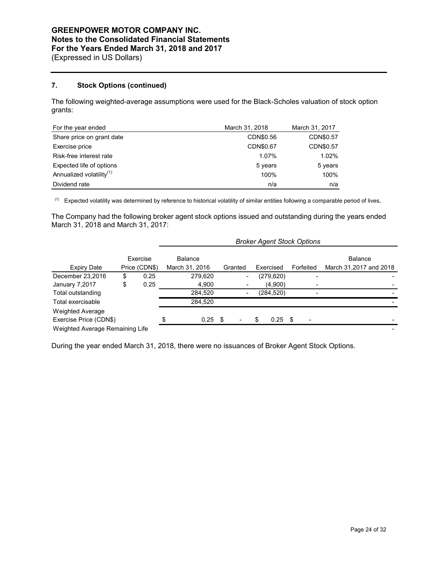# **7. Stock Options (continued)**

The following weighted-average assumptions were used for the Black-Scholes valuation of stock option grants:

| For the year ended                   | March 31, 2018 | March 31, 2017 |
|--------------------------------------|----------------|----------------|
| Share price on grant date            | CDN\$0.56      | CDN\$0.57      |
| Exercise price                       | CDN\$0.67      | CDN\$0.57      |
| Risk-free interest rate              | 1.07%          | 1.02%          |
| Expected life of options             | 5 years        | 5 years        |
| Annualized volatility <sup>(1)</sup> | 100%           | 100%           |
| Dividend rate                        | n/a            | n/a            |

(1) Expected volatility was determined by reference to historical volatility of similar entities following a comparable period of lives**.**

The Company had the following broker agent stock options issued and outstanding during the years ended March 31, 2018 and March 31, 2017:

|                                 |               | <b>Broker Agent Stock Options</b> |      |                          |    |            |      |           |                        |                |  |
|---------------------------------|---------------|-----------------------------------|------|--------------------------|----|------------|------|-----------|------------------------|----------------|--|
|                                 | Exercise      | Balance                           |      |                          |    |            |      |           |                        | <b>Balance</b> |  |
| <b>Expiry Date</b>              | Price (CDN\$) | March 31, 2016                    |      | Granted                  |    | Exercised  |      | Forfeited | March 31,2017 and 2018 |                |  |
| December 23,2016                | \$<br>0.25    | 279,620                           |      | $\overline{\phantom{0}}$ |    | (279, 620) |      |           |                        |                |  |
| January 7,2017                  | \$<br>0.25    | 4,900                             |      |                          |    | (4,900)    |      |           |                        |                |  |
| Total outstanding               |               | 284,520                           |      |                          |    | (284,520)  |      | -         |                        |                |  |
| Total exercisable               |               | 284,520                           |      |                          |    |            |      |           |                        |                |  |
| <b>Weighted Average</b>         |               |                                   |      |                          |    |            |      |           |                        |                |  |
| Exercise Price (CDN\$)          |               | \$<br>0.25                        | - \$ |                          | \$ | 0.25       | - \$ | -         |                        |                |  |
| Weighted Average Remaining Life |               |                                   |      |                          |    |            |      |           |                        |                |  |

During the year ended March 31, 2018, there were no issuances of Broker Agent Stock Options.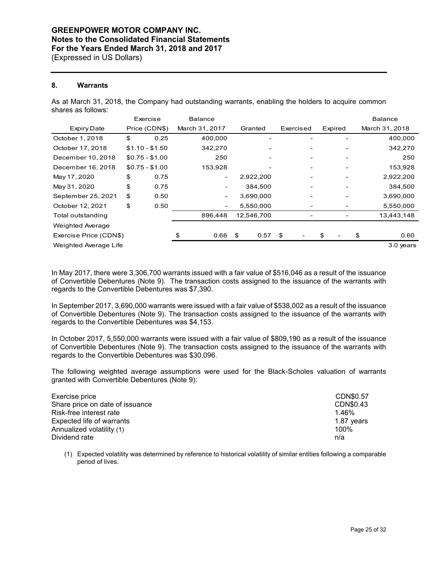# **GREENPOWER MOTOR COMPANY INC. Notes to the Consolidated Financial Statements For the Years Ended March 31, 2018 and 2017** (Expressed in US Dollars)

### **8. Warrants**

As at March 31, 2018, the Company had outstanding warrants, enabling the holders to acquire common shares as follows:

|                       |                        |                                                                                    |                          |                                  |      |                                                                         |  |           |                          |         | <b>Balance</b> |
|-----------------------|------------------------|------------------------------------------------------------------------------------|--------------------------|----------------------------------|------|-------------------------------------------------------------------------|--|-----------|--------------------------|---------|----------------|
|                       |                        |                                                                                    |                          |                                  |      |                                                                         |  |           |                          |         | March 31, 2018 |
| \$                    | 0.25                   |                                                                                    | 400,000                  |                                  |      |                                                                         |  |           | $\overline{\phantom{0}}$ |         | 400,000        |
|                       |                        |                                                                                    | 342,270                  |                                  |      |                                                                         |  |           |                          |         | 342,270        |
|                       |                        |                                                                                    | 250                      |                                  |      |                                                                         |  |           | $\overline{\phantom{a}}$ |         | 250            |
|                       |                        |                                                                                    | 153,928                  |                                  |      |                                                                         |  |           | -                        |         | 153,928        |
| \$                    | 0.75                   |                                                                                    | $\overline{\phantom{a}}$ |                                  |      |                                                                         |  |           |                          |         | 2,922,200      |
| \$                    | 0.75                   |                                                                                    |                          |                                  |      |                                                                         |  |           | $\overline{\phantom{a}}$ |         | 384,500        |
| \$                    | 0.50                   |                                                                                    | $\overline{\phantom{a}}$ |                                  |      |                                                                         |  |           | -                        |         | 3,690,000      |
| \$                    | 0.50                   |                                                                                    | $\overline{\phantom{a}}$ |                                  |      |                                                                         |  |           |                          |         | 5,550,000      |
|                       |                        |                                                                                    | 896,448                  |                                  |      |                                                                         |  |           |                          |         | 13,443,148     |
|                       |                        |                                                                                    |                          |                                  |      |                                                                         |  |           |                          |         |                |
|                       |                        | \$                                                                                 | 0.66                     | \$                               | 0.57 | \$                                                                      |  |           |                          |         | 0.60           |
|                       |                        |                                                                                    |                          |                                  |      |                                                                         |  |           |                          |         | 3.0 years      |
| Weighted Average Life | Exercise Price (CDN\$) | Exercise<br>Price (CDN\$)<br>$$1.10 - $1.50$<br>$$0.75 - $1.00$<br>$$0.75 - $1.00$ |                          | <b>Balance</b><br>March 31, 2017 |      | Granted<br>2,922,200<br>384,500<br>3,690,000<br>5,550,000<br>12,546,700 |  | Exercised | \$                       | Expired | \$             |

In May 2017, there were 3,306,700 warrants issued with a fair value of \$516,046 as a result of the issuance of Convertible Debentures (Note 9). The transaction costs assigned to the issuance of the warrants with regards to the Convertible Debentures was \$7,390.

In September 2017, 3,690,000 warrants were issued with a fair value of \$538,002 as a result of the issuance of Convertible Debentures (Note 9). The transaction costs assigned to the issuance of the warrants with regards to the Convertible Debentures was \$4,153.

In October 2017, 5,550,000 warrants were issued with a fair value of \$809,190 as a result of the issuance of Convertible Debentures (Note 9). The transaction costs assigned to the issuance of the warrants with regards to the Convertible Debentures was \$30,096.

The following weighted average assumptions were used for the Black-Scholes valuation of warrants granted with Convertible Debentures (Note 9):

| Exercise price                  | CDN\$0.57  |
|---------------------------------|------------|
| Share price on date of issuance | CDN\$0.43  |
| Risk-free interest rate         | 1.46%      |
| Expected life of warrants       | 1.87 vears |
| Annualized volatility (1)       | 100%       |
| Dividend rate                   | n/a        |

(1) Expected volatility was determined by reference to historical volatility of similar entities following a comparable period of lives.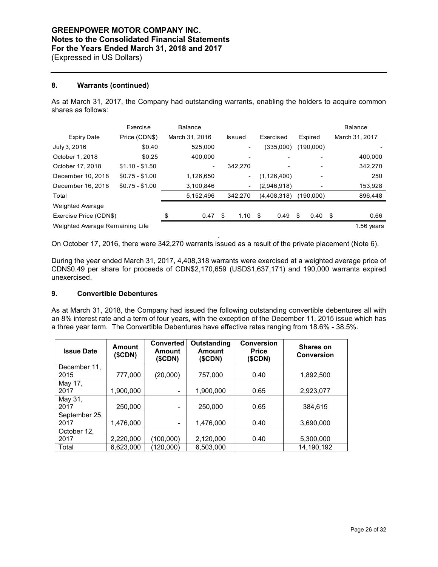# **GREENPOWER MOTOR COMPANY INC. Notes to the Consolidated Financial Statements For the Years Ended March 31, 2018 and 2017** (Expressed in US Dollars)

# **8. Warrants (continued)**

As at March 31, 2017, the Company had outstanding warrants, enabling the holders to acquire common shares as follows:

|                                 | Exercise        | <b>Balance</b> |                          |             |                         | <b>Balance</b> |
|---------------------------------|-----------------|----------------|--------------------------|-------------|-------------------------|----------------|
| <b>Expiry Date</b>              | Price (CDN\$)   | March 31, 2016 | <b>Issued</b>            | Exercised   | Expired                 | March 31, 2017 |
| July 3, 2016                    | \$0.40          | 525.000        | -                        | (335,000)   | (190,000)               |                |
| October 1, 2018                 | \$0.25          | 400.000        |                          |             |                         | 400,000        |
| October 17, 2018                | $$1.10 - $1.50$ |                | 342.270                  |             |                         | 342.270        |
| December 10, 2018               | $$0.75 - $1.00$ | 1.126.650      | $\overline{\phantom{a}}$ | (1,126,400) |                         | 250            |
| December 16, 2018               | $$0.75 - $1.00$ | 3,100,846      | $\overline{\phantom{a}}$ | (2,946,918) |                         | 153,928        |
| Total                           |                 | 5,152,496      | 342.270                  | (4,408,318) | (190.000)               | 896,448        |
| <b>Weighted Average</b>         |                 |                |                          |             |                         |                |
| Exercise Price (CDN\$)          |                 | 0.47           | \$<br>1.10               | -\$<br>0.49 | \$<br>0.40 <sup>5</sup> | 0.66           |
| Weighted Average Remaining Life |                 |                |                          |             |                         | 1.56 years     |

. On October 17, 2016, there were 342,270 warrants issued as a result of the private placement (Note 6).

During the year ended March 31, 2017, 4,408,318 warrants were exercised at a weighted average price of CDN\$0.49 per share for proceeds of CDN\$2,170,659 (USD\$1,637,171) and 190,000 warrants expired unexercised.

### **9. Convertible Debentures**

As at March 31, 2018, the Company had issued the following outstanding convertible debentures all with an 8% interest rate and a term of four years, with the exception of the December 11, 2015 issue which has a three year term. The Convertible Debentures have effective rates ranging from 18.6% - 38.5%.

| <b>Issue Date</b> | <b>Amount</b><br>(SCDN) | <b>Converted</b><br><b>Amount</b><br>( <b>SCDN</b> ) | Outstanding<br><b>Amount</b><br>(SCDN) | <b>Conversion</b><br><b>Price</b><br>(SCDN) | <b>Shares on</b><br><b>Conversion</b> |
|-------------------|-------------------------|------------------------------------------------------|----------------------------------------|---------------------------------------------|---------------------------------------|
| December 11,      |                         |                                                      |                                        |                                             |                                       |
| 2015              | 777,000                 | (20,000)                                             | 757,000                                | 0.40                                        | 1,892,500                             |
| May 17,           |                         |                                                      |                                        |                                             |                                       |
| 2017              | 1,900,000               | -                                                    | 1,900,000                              | 0.65                                        | 2,923,077                             |
| May 31,           |                         |                                                      |                                        |                                             |                                       |
| 2017              | 250,000                 | $\overline{\phantom{a}}$                             | 250,000                                | 0.65                                        | 384,615                               |
| September 25,     |                         |                                                      |                                        |                                             |                                       |
| 2017              | 1,476,000               | $\overline{\phantom{a}}$                             | 1,476,000                              | 0.40                                        | 3,690,000                             |
| October 12,       |                         |                                                      |                                        |                                             |                                       |
| 2017              | 2,220,000               | (100,000)                                            | 2,120,000                              | 0.40                                        | 5,300,000                             |
| Total             | 6,623,000               | (120,000)                                            | 6,503,000                              |                                             | 14,190,192                            |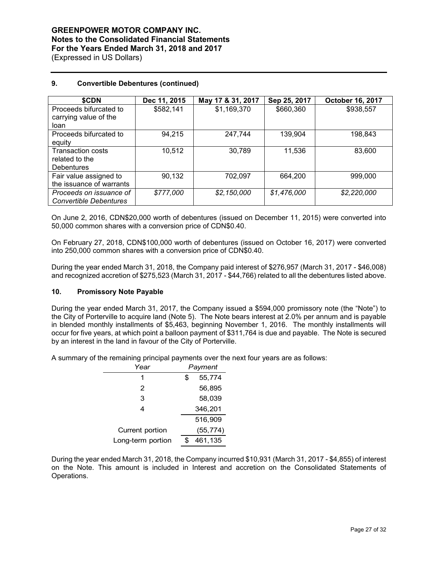| \$CDN                                                           | Dec 11, 2015 | May 17 & 31, 2017 | Sep 25, 2017 | <b>October 16, 2017</b> |
|-----------------------------------------------------------------|--------------|-------------------|--------------|-------------------------|
| Proceeds bifurcated to<br>carrying value of the<br>loan         | \$582,141    | \$1,169,370       | \$660,360    | \$938,557               |
| Proceeds bifurcated to<br>equity                                | 94,215       | 247,744           | 139,904      | 198,843                 |
| <b>Transaction costs</b><br>related to the<br><b>Debentures</b> | 10,512       | 30,789            | 11,536       | 83,600                  |
| Fair value assigned to<br>the issuance of warrants              | 90,132       | 702.097           | 664,200      | 999,000                 |
| Proceeds on issuance of<br>Convertible Debentures               | \$777,000    | \$2,150,000       | \$1,476,000  | \$2,220,000             |

# **9. Convertible Debentures (continued)**

On June 2, 2016, CDN\$20,000 worth of debentures (issued on December 11, 2015) were converted into 50,000 common shares with a conversion price of CDN\$0.40.

On February 27, 2018, CDN\$100,000 worth of debentures (issued on October 16, 2017) were converted into 250,000 common shares with a conversion price of CDN\$0.40.

During the year ended March 31, 2018, the Company paid interest of \$276,957 (March 31, 2017 - \$46,008) and recognized accretion of \$275,523 (March 31, 2017 - \$44,766) related to all the debentures listed above.

### **10. Promissory Note Payable**

During the year ended March 31, 2017, the Company issued a \$594,000 promissory note (the "Note") to the City of Porterville to acquire land (Note 5). The Note bears interest at 2.0% per annum and is payable in blended monthly installments of \$5,463, beginning November 1, 2016. The monthly installments will occur for five years, at which point a balloon payment of \$311,764 is due and payable. The Note is secured by an interest in the land in favour of the City of Porterville.

A summary of the remaining principal payments over the next four years are as follows:

| Year              | Payment |           |  |
|-------------------|---------|-----------|--|
| 1                 | \$      | 55,774    |  |
| 2                 |         | 56,895    |  |
| 3                 | 58,039  |           |  |
| 4                 | 346,201 |           |  |
|                   |         | 516,909   |  |
| Current portion   |         | (55, 774) |  |
| Long-term portion | \$      | 461,135   |  |

During the year ended March 31, 2018, the Company incurred \$10,931 (March 31, 2017 - \$4,855) of interest on the Note. This amount is included in Interest and accretion on the Consolidated Statements of Operations.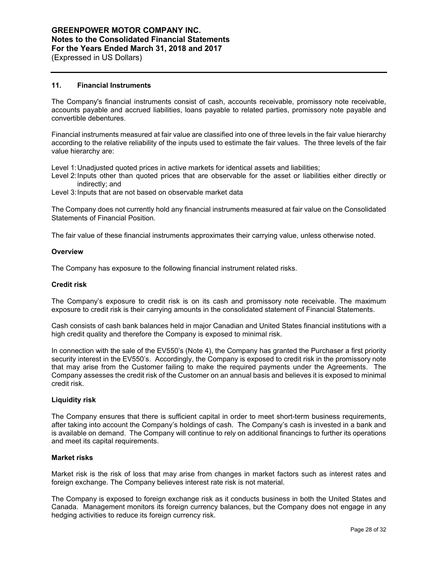(Expressed in US Dollars)

### **11. Financial Instruments**

The Company's financial instruments consist of cash, accounts receivable, promissory note receivable, accounts payable and accrued liabilities, loans payable to related parties, promissory note payable and convertible debentures.

Financial instruments measured at fair value are classified into one of three levels in the fair value hierarchy according to the relative reliability of the inputs used to estimate the fair values. The three levels of the fair value hierarchy are:

Level 1:Unadjusted quoted prices in active markets for identical assets and liabilities;

Level 2:Inputs other than quoted prices that are observable for the asset or liabilities either directly or indirectly; and

Level 3: Inputs that are not based on observable market data

The Company does not currently hold any financial instruments measured at fair value on the Consolidated Statements of Financial Position.

The fair value of these financial instruments approximates their carrying value, unless otherwise noted.

#### **Overview**

The Company has exposure to the following financial instrument related risks.

#### **Credit risk**

The Company's exposure to credit risk is on its cash and promissory note receivable. The maximum exposure to credit risk is their carrying amounts in the consolidated statement of Financial Statements.

Cash consists of cash bank balances held in major Canadian and United States financial institutions with a high credit quality and therefore the Company is exposed to minimal risk.

In connection with the sale of the EV550's (Note 4), the Company has granted the Purchaser a first priority security interest in the EV550's. Accordingly, the Company is exposed to credit risk in the promissory note that may arise from the Customer failing to make the required payments under the Agreements. The Company assesses the credit risk of the Customer on an annual basis and believes it is exposed to minimal credit risk.

#### **Liquidity risk**

The Company ensures that there is sufficient capital in order to meet short-term business requirements, after taking into account the Company's holdings of cash. The Company's cash is invested in a bank and is available on demand. The Company will continue to rely on additional financings to further its operations and meet its capital requirements.

#### **Market risks**

Market risk is the risk of loss that may arise from changes in market factors such as interest rates and foreign exchange. The Company believes interest rate risk is not material.

The Company is exposed to foreign exchange risk as it conducts business in both the United States and Canada. Management monitors its foreign currency balances, but the Company does not engage in any hedging activities to reduce its foreign currency risk.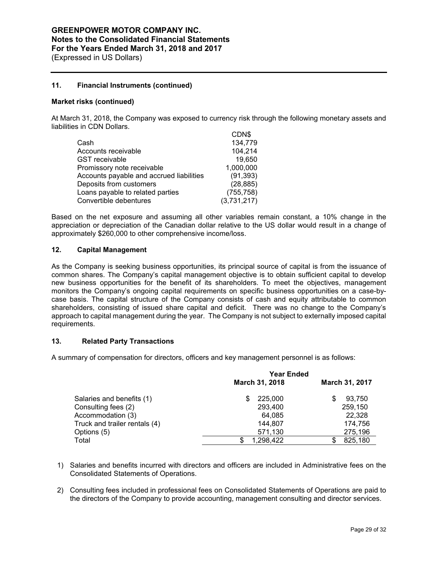### **11. Financial Instruments (continued)**

#### **Market risks (continued)**

At March 31, 2018, the Company was exposed to currency risk through the following monetary assets and liabilities in CDN Dollars. CD<sub>N</sub><sup>\$</sup>

|                                          | ◡◡៶៶៴       |
|------------------------------------------|-------------|
| Cash                                     | 134,779     |
| Accounts receivable                      | 104,214     |
| GST receivable                           | 19.650      |
| Promissory note receivable               | 1,000,000   |
| Accounts payable and accrued liabilities | (91, 393)   |
| Deposits from customers                  | (28, 885)   |
| Loans payable to related parties         | (755, 758)  |
| Convertible debentures                   | (3,731,217) |
|                                          |             |

Based on the net exposure and assuming all other variables remain constant, a 10% change in the appreciation or depreciation of the Canadian dollar relative to the US dollar would result in a change of approximately \$260,000 to other comprehensive income/loss.

### **12. Capital Management**

As the Company is seeking business opportunities, its principal source of capital is from the issuance of common shares. The Company's capital management objective is to obtain sufficient capital to develop new business opportunities for the benefit of its shareholders. To meet the objectives, management monitors the Company's ongoing capital requirements on specific business opportunities on a case-bycase basis. The capital structure of the Company consists of cash and equity attributable to common shareholders, consisting of issued share capital and deficit. There was no change to the Company's approach to capital management during the year. The Company is not subject to externally imposed capital requirements.

### **13. Related Party Transactions**

A summary of compensation for directors, officers and key management personnel is as follows:

|                               | <b>Year Ended</b> |                |
|-------------------------------|-------------------|----------------|
|                               | March 31, 2018    | March 31, 2017 |
| Salaries and benefits (1)     | 225,000<br>S      | 93,750<br>\$   |
| Consulting fees (2)           | 293,400           | 259.150        |
| Accommodation (3)             | 64.085            | 22.328         |
| Truck and trailer rentals (4) | 144,807           | 174,756        |
| Options (5)                   | 571,130           | 275,196        |
| Total                         | 1,298,422         | 825,180<br>S   |

- 1) Salaries and benefits incurred with directors and officers are included in Administrative fees on the Consolidated Statements of Operations.
- 2) Consulting fees included in professional fees on Consolidated Statements of Operations are paid to the directors of the Company to provide accounting, management consulting and director services.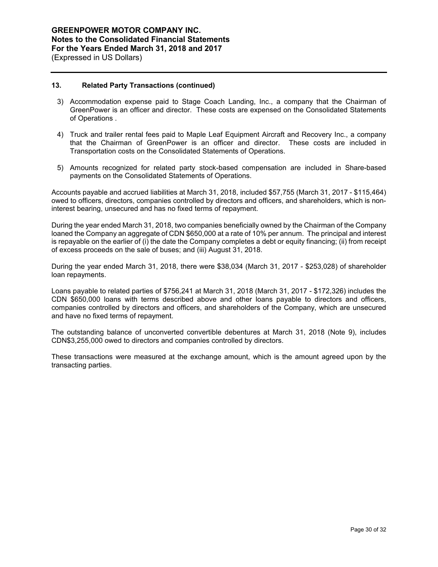### **13. Related Party Transactions (continued)**

- 3) Accommodation expense paid to Stage Coach Landing, Inc., a company that the Chairman of GreenPower is an officer and director. These costs are expensed on the Consolidated Statements of Operations .
- 4) Truck and trailer rental fees paid to Maple Leaf Equipment Aircraft and Recovery Inc., a company that the Chairman of GreenPower is an officer and director. These costs are included in Transportation costs on the Consolidated Statements of Operations.
- 5) Amounts recognized for related party stock-based compensation are included in Share-based payments on the Consolidated Statements of Operations.

Accounts payable and accrued liabilities at March 31, 2018, included \$57,755 (March 31, 2017 - \$115,464) owed to officers, directors, companies controlled by directors and officers, and shareholders, which is noninterest bearing, unsecured and has no fixed terms of repayment.

During the year ended March 31, 2018, two companies beneficially owned by the Chairman of the Company loaned the Company an aggregate of CDN \$650,000 at a rate of 10% per annum. The principal and interest is repayable on the earlier of (i) the date the Company completes a debt or equity financing; (ii) from receipt of excess proceeds on the sale of buses; and (iii) August 31, 2018.

During the year ended March 31, 2018, there were \$38,034 (March 31, 2017 - \$253,028) of shareholder loan repayments.

Loans payable to related parties of \$756,241 at March 31, 2018 (March 31, 2017 - \$172,326) includes the CDN \$650,000 loans with terms described above and other loans payable to directors and officers, companies controlled by directors and officers, and shareholders of the Company, which are unsecured and have no fixed terms of repayment.

The outstanding balance of unconverted convertible debentures at March 31, 2018 (Note 9), includes CDN\$3,255,000 owed to directors and companies controlled by directors.

These transactions were measured at the exchange amount, which is the amount agreed upon by the transacting parties.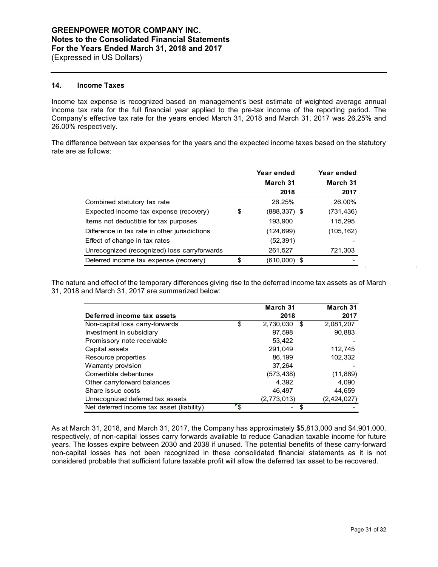(Expressed in US Dollars)

### **14. Income Taxes**

Income tax expense is recognized based on management's best estimate of weighted average annual income tax rate for the full financial year applied to the pre-tax income of the reporting period. The Company's effective tax rate for the years ended March 31, 2018 and March 31, 2017 was 26.25% and 26.00% respectively.

The difference between tax expenses for the years and the expected income taxes based on the statutory rate are as follows:

|                                               | Year ended            | Year ended |
|-----------------------------------------------|-----------------------|------------|
|                                               | March 31              | March 31   |
|                                               | 2018                  | 2017       |
| Combined statutory tax rate                   | 26.25%                | 26.00%     |
| Expected income tax expense (recovery)        | \$<br>$(888, 337)$ \$ | (731, 436) |
| Items not deductible for tax purposes         | 193,900               | 115,295    |
| Difference in tax rate in other jurisdictions | (124, 699)            | (105,162)  |
| Effect of change in tax rates                 | (52, 391)             |            |
| Unrecognized (recognized) loss carryforwards  | 261,527               | 721,303    |
| Deferred income tax expense (recovery)        | \$<br>(610,000) \$    |            |

The nature and effect of the temporary differences giving rise to the deferred income tax assets as of March 31, 2018 and March 31, 2017 are summarized below:

|                                           |     | March 31       | March 31    |
|-------------------------------------------|-----|----------------|-------------|
| Deferred income tax assets                |     | 2018           | 2017        |
| Non-capital loss carry-forwards           | \$  | 2,730,030<br>S | 2,081,207   |
| Investment in subsidiary                  |     | 97.598         | 90,883      |
| Promissory note receivable                |     | 53.422         |             |
| Capital assets                            |     | 291,049        | 112,745     |
| Resource properties                       |     | 86.199         | 102,332     |
| Warranty provision                        |     | 37,264         |             |
| Convertible debentures                    |     | (573, 438)     | (11, 889)   |
| Other carryforward balances               |     | 4.392          | 4.090       |
| Share issue costs                         |     | 46,497         | 44.659      |
| Unrecognized deferred tax assets          |     | (2,773,013)    | (2,424,027) |
| Net deferred income tax asset (liability) | ΄\$ | S              |             |

As at March 31, 2018, and March 31, 2017, the Company has approximately \$5,813,000 and \$4,901,000, respectively, of non-capital losses carry forwards available to reduce Canadian taxable income for future years. The losses expire between 2030 and 2038 if unused. The potential benefits of these carry-forward non-capital losses has not been recognized in these consolidated financial statements as it is not considered probable that sufficient future taxable profit will allow the deferred tax asset to be recovered.